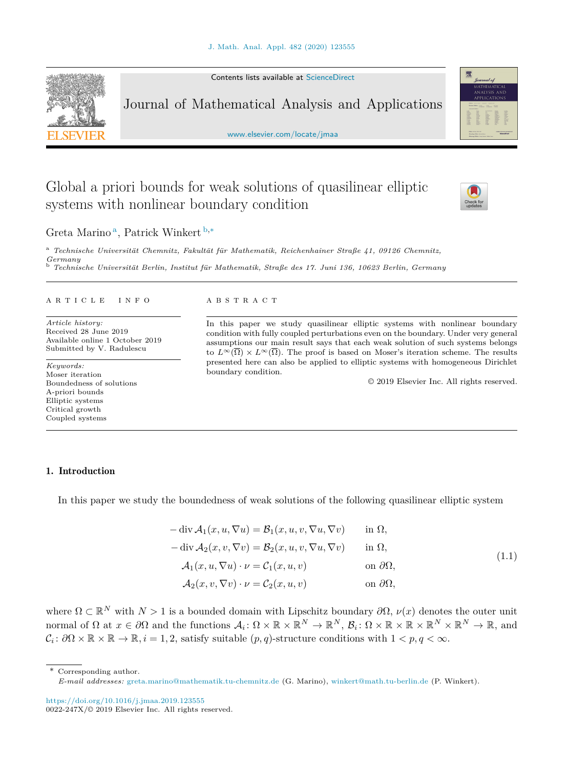Contents lists available at [ScienceDirect](http://www.ScienceDirect.com/)

Journal of Mathematical Analysis and Applications

[www.elsevier.com/locate/jmaa](http://www.elsevier.com/locate/jmaa)

# Global a priori bounds for weak solutions of quasilinear elliptic systems with nonlinear boundary condition

Greta Marino<sup>a</sup>, Patrick Winkert b,\*

<sup>a</sup> *Technische Universität Chemnitz, Fakultät für Mathematik, Reichenhainer Straße 41, 09126 Chemnitz, Germany* <sup>b</sup> *Technische Universität Berlin, Institut für Mathematik, Straße des 17. Juni 136, 10623 Berlin, Germany*

#### A R T I C L E I N F O A B S T R A C T

*Article history:* Received 28 June 2019 Available online 1 October 2019 Submitted by V. Radulescu

*Keywords:* Moser iteration Boundedness of solutions A-priori bounds Elliptic systems Critical growth Coupled systems

In this paper we study quasilinear elliptic systems with nonlinear boundary condition with fully coupled perturbations even on the boundary. Under very general assumptions our main result says that each weak solution of such systems belongs to  $L^{\infty}(\overline{\Omega}) \times L^{\infty}(\overline{\Omega})$ . The proof is based on Moser's iteration scheme. The results presented here can also be applied to elliptic systems with homogeneous Dirichlet boundary condition.

© 2019 Elsevier Inc. All rights reserved.

## 1. Introduction

In this paper we study the boundedness of weak solutions of the following quasilinear elliptic system

$$
-\operatorname{div} \mathcal{A}_1(x, u, \nabla u) = \mathcal{B}_1(x, u, v, \nabla u, \nabla v) \quad \text{in } \Omega,
$$
  
\n
$$
-\operatorname{div} \mathcal{A}_2(x, v, \nabla v) = \mathcal{B}_2(x, u, v, \nabla u, \nabla v) \quad \text{in } \Omega,
$$
  
\n
$$
\mathcal{A}_1(x, u, \nabla u) \cdot \nu = \mathcal{C}_1(x, u, v) \quad \text{on } \partial \Omega,
$$
  
\n
$$
\mathcal{A}_2(x, v, \nabla v) \cdot \nu = \mathcal{C}_2(x, u, v) \quad \text{on } \partial \Omega,
$$
\n(1.1)

where  $\Omega \subset \mathbb{R}^N$  with  $N > 1$  is a bounded domain with Lipschitz boundary  $\partial \Omega$ ,  $\nu(x)$  denotes the outer unit normal of  $\Omega$  at  $x \in \partial \Omega$  and the functions  $\mathcal{A}_i \colon \Omega \times \mathbb{R} \times \mathbb{R}^N \to \mathbb{R}^N$ ,  $\mathcal{B}_i \colon \Omega \times \mathbb{R} \times \mathbb{R} \times \mathbb{R}^N \times \mathbb{R}^N \to \mathbb{R}$ , and  $\mathcal{C}_i$ :  $\partial\Omega \times \mathbb{R} \times \mathbb{R} \to \mathbb{R}, i = 1, 2$ , satisfy suitable  $(p, q)$ -structure conditions with  $1 < p, q < \infty$ .

\* Corresponding author.

*E-mail addresses:* [greta.marino@mathematik.tu-chemnitz.de](mailto:greta.marino@mathematik.tu-chemnitz.de) (G. Marino), [winkert@math.tu-berlin.de](mailto:winkert@math.tu-berlin.de) (P. Winkert).

<https://doi.org/10.1016/j.jmaa.2019.123555>  $0022 - 247X/\odot 2019$  Elsevier Inc. All rights reserved.

<span id="page-0-0"></span>



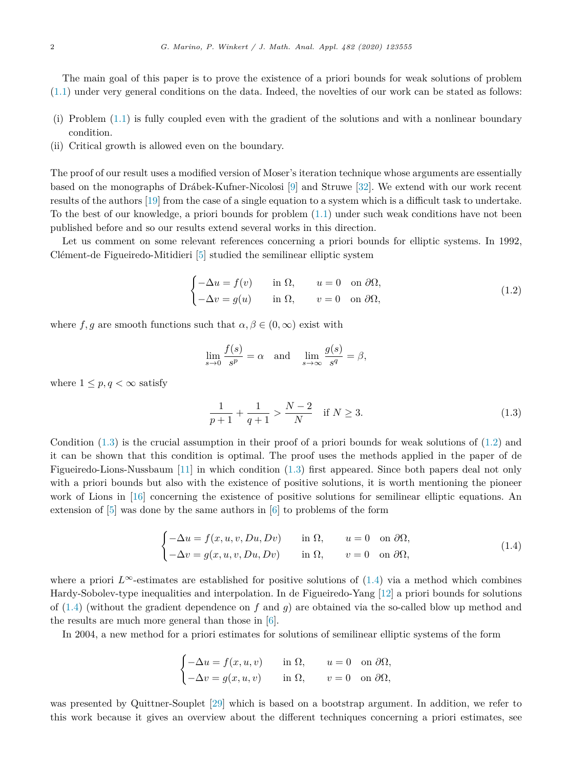The main goal of this paper is to prove the existence of a priori bounds for weak solutions of problem [\(1.1\)](#page-0-0) under very general conditions on the data. Indeed, the novelties of our work can be stated as follows:

- (i) Problem [\(1.1\)](#page-0-0) is fully coupled even with the gradient of the solutions and with a nonlinear boundary condition.
- (ii) Critical growth is allowed even on the boundary.

The proof of our result uses a modified version of Moser's iteration technique whose arguments are essentially based on the monographs of Drábek-Kufner-Nicolosi [\[9\]](#page-17-0) and Struwe [\[32\]](#page-18-0). We extend with our work recent results of the authors [\[19\]](#page-18-0) from the case of a single equation to a system which is a difficult task to undertake. To the best of our knowledge, a priori bounds for problem [\(1.1\)](#page-0-0) under such weak conditions have not been published before and so our results extend several works in this direction.

Let us comment on some relevant references concerning a priori bounds for elliptic systems. In 1992, Clément-de Figueiredo-Mitidieri [\[5\]](#page-17-0) studied the semilinear elliptic system

$$
\begin{cases}\n-\Delta u = f(v) & \text{in } \Omega, \quad u = 0 \quad \text{on } \partial \Omega, \\
-\Delta v = g(u) & \text{in } \Omega, \quad v = 0 \quad \text{on } \partial \Omega,\n\end{cases}
$$
\n(1.2)

where  $f, g$  are smooth functions such that  $\alpha, \beta \in (0, \infty)$  exist with

$$
\lim_{s \to 0} \frac{f(s)}{s^p} = \alpha \quad \text{and} \quad \lim_{s \to \infty} \frac{g(s)}{s^q} = \beta,
$$

where  $1 \leq p, q < \infty$  satisfy

$$
\frac{1}{p+1} + \frac{1}{q+1} > \frac{N-2}{N} \quad \text{if } N \ge 3. \tag{1.3}
$$

Condition  $(1.3)$  is the crucial assumption in their proof of a priori bounds for weak solutions of  $(1.2)$  and it can be shown that this condition is optimal. The proof uses the methods applied in the paper of de Figueiredo-Lions-Nussbaum [\[11\]](#page-17-0) in which condition (1.3) first appeared. Since both papers deal not only with a priori bounds but also with the existence of positive solutions, it is worth mentioning the pioneer work of Lions in [\[16\]](#page-17-0) concerning the existence of positive solutions for semilinear elliptic equations. An extension of [\[5\]](#page-17-0) was done by the same authors in [\[6\]](#page-17-0) to problems of the form

$$
\begin{cases}\n-\Delta u = f(x, u, v, Du, Dv) & \text{in } \Omega, & u = 0 \text{ on } \partial\Omega, \\
-\Delta v = g(x, u, v, Du, Dv) & \text{in } \Omega, & v = 0 \text{ on } \partial\Omega,\n\end{cases}
$$
\n(1.4)

where a priori  $L^{\infty}$ -estimates are established for positive solutions of (1.4) via a method which combines Hardy-Sobolev-type inequalities and interpolation. In de Figueiredo-Yang [\[12\]](#page-17-0) a priori bounds for solutions of (1.4) (without the gradient dependence on *f* and *g*) are obtained via the so-called blow up method and the results are much more general than those in [\[6\]](#page-17-0).

In 2004, a new method for a priori estimates for solutions of semilinear elliptic systems of the form

$$
\begin{cases}\n-\Delta u = f(x, u, v) & \text{in } \Omega, & u = 0 \text{ on } \partial \Omega, \\
-\Delta v = g(x, u, v) & \text{in } \Omega, & v = 0 \text{ on } \partial \Omega,\n\end{cases}
$$

was presented by Quittner-Souplet [\[29\]](#page-18-0) which is based on a bootstrap argument. In addition, we refer to this work because it gives an overview about the different techniques concerning a priori estimates, see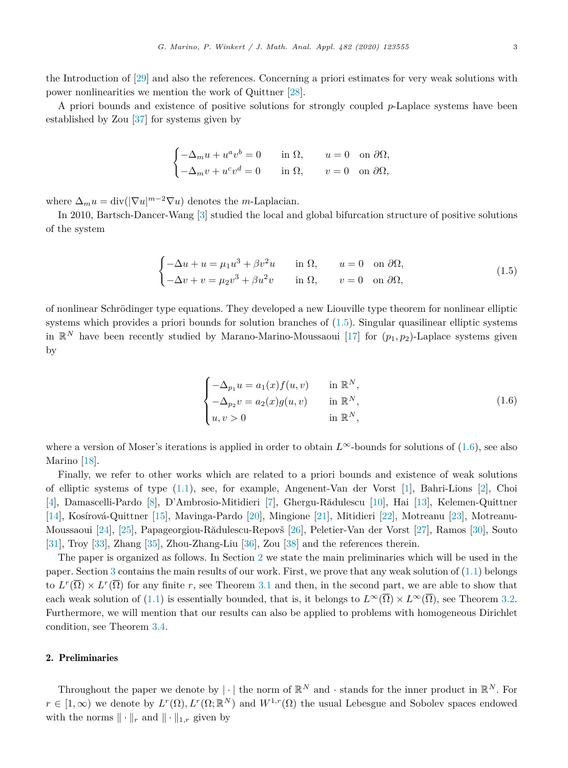the Introduction of [\[29\]](#page-18-0) and also the references. Concerning a priori estimates for very weak solutions with power nonlinearities we mention the work of Quittner [\[28\]](#page-18-0).

A priori bounds and existence of positive solutions for strongly coupled *p*-Laplace systems have been established by Zou [\[37\]](#page-18-0) for systems given by

$$
\begin{cases}\n-\Delta_m u + u^a v^b = 0 & \text{in } \Omega, \quad u = 0 \text{ on } \partial \Omega, \\
-\Delta_m v + u^c v^d = 0 & \text{in } \Omega, \quad v = 0 \text{ on } \partial \Omega,\n\end{cases}
$$

where  $\Delta_m u = \text{div}(|\nabla u|^{m-2} \nabla u)$  denotes the *m*-Laplacian.

In 2010, Bartsch-Dancer-Wang [\[3\]](#page-17-0) studied the local and global bifurcation structure of positive solutions of the system

$$
\begin{cases}\n-\Delta u + u = \mu_1 u^3 + \beta v^2 u & \text{in } \Omega, \quad u = 0 \quad \text{on } \partial \Omega, \\
-\Delta v + v = \mu_2 v^3 + \beta u^2 v & \text{in } \Omega, \quad v = 0 \quad \text{on } \partial \Omega,\n\end{cases}
$$
\n(1.5)

of nonlinear Schrödinger type equations. They developed a new Liouville type theorem for nonlinear elliptic systems which provides a priori bounds for solution branches of (1.5). Singular quasilinear elliptic systems in  $\mathbb{R}^N$  have been recently studied by Marano-Marino-Moussaoui [\[17\]](#page-17-0) for  $(p_1, p_2)$ -Laplace systems given by

$$
\begin{cases}\n-\Delta_{p_1} u = a_1(x) f(u, v) & \text{in } \mathbb{R}^N, \\
-\Delta_{p_2} v = a_2(x) g(u, v) & \text{in } \mathbb{R}^N, \\
u, v > 0 & \text{in } \mathbb{R}^N,\n\end{cases}
$$
\n(1.6)

where a version of Moser's iterations is applied in order to obtain *L*∞-bounds for solutions of (1.6), see also Marino [\[18\]](#page-18-0).

Finally, we refer to other works which are related to a priori bounds and existence of weak solutions of elliptic systems of type [\(1.1\)](#page-0-0), see, for example, Angenent-Van der Vorst [\[1\]](#page-17-0), Bahri-Lions [\[2\]](#page-17-0), Choi [\[4\]](#page-17-0), Damascelli-Pardo [\[8\]](#page-17-0), D'Ambrosio-Mitidieri [\[7\]](#page-17-0), Ghergu-Rădulescu [\[10\]](#page-17-0), Hai [\[13\]](#page-17-0), Kelemen-Quittner [\[14\]](#page-17-0), Kosírová-Quittner [\[15\]](#page-17-0), Mavinga-Pardo [\[20\]](#page-18-0), Mingione [\[21\]](#page-18-0), Mitidieri [\[22\]](#page-18-0), Motreanu [\[23\]](#page-18-0), Motreanu-Moussaoui [\[24\]](#page-18-0), [\[25\]](#page-18-0), Papageorgiou-Rădulescu-Repovš [\[26\]](#page-18-0), Peletier-Van der Vorst [\[27\]](#page-18-0), Ramos [\[30\]](#page-18-0), Souto [\[31\]](#page-18-0), Troy [\[33\]](#page-18-0), Zhang [\[35\]](#page-18-0), Zhou-Zhang-Liu [\[36\]](#page-18-0), Zou [\[38\]](#page-18-0) and the references therein.

The paper is organized as follows. In Section 2 we state the main preliminaries which will be used in the paper. Section [3](#page-4-0) contains the main results of our work. First, we prove that any weak solution of [\(1.1\)](#page-0-0) belongs to  $L^r(\overline{\Omega}) \times L^r(\overline{\Omega})$  for any finite *r*, see Theorem [3.1](#page-5-0) and then, in the second part, we are able to show that each weak solution of [\(1.1\)](#page-0-0) is essentially bounded, that is, it belongs to  $L^{\infty}(\overline{\Omega}) \times L^{\infty}(\overline{\Omega})$ , see Theorem [3.2.](#page-13-0) Furthermore, we will mention that our results can also be applied to problems with homogeneous Dirichlet condition, see Theorem [3.4.](#page-17-0)

#### 2. Preliminaries

Throughout the paper we denote by  $|\cdot|$  the norm of  $\mathbb{R}^N$  and  $\cdot$  stands for the inner product in  $\mathbb{R}^N$ . For  $r \in [1,\infty)$  we denote by  $L^r(\Omega), L^r(\Omega;\mathbb{R}^N)$  and  $W^{1,r}(\Omega)$  the usual Lebesgue and Sobolev spaces endowed with the norms  $\|\cdot\|_r$  and  $\|\cdot\|_{1,r}$  given by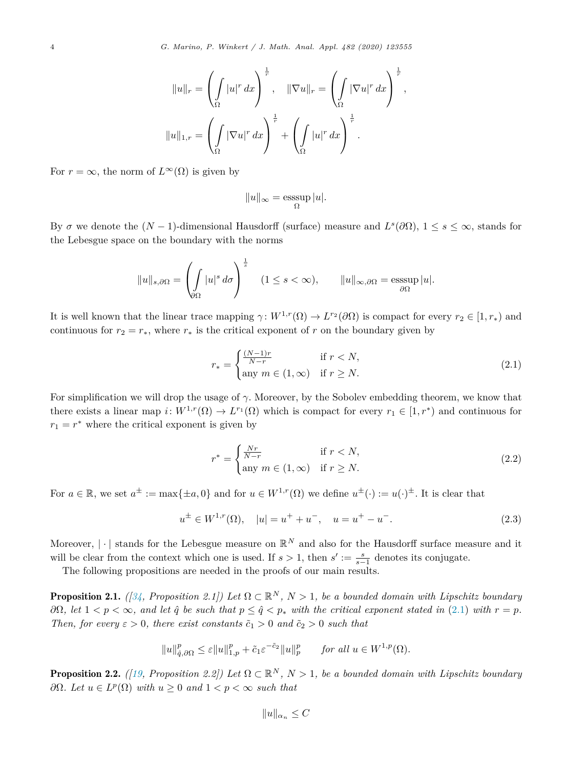<span id="page-3-0"></span>4 *G. Marino, P. Winkert / J. Math. Anal. Appl. 482 (2020) 123555*

$$
||u||_r = \left(\int_{\Omega} |u|^r dx\right)^{\frac{1}{r}}, \quad ||\nabla u||_r = \left(\int_{\Omega} |\nabla u|^r dx\right)^{\frac{1}{r}},
$$

$$
||u||_{1,r} = \left(\int_{\Omega} |\nabla u|^r dx\right)^{\frac{1}{r}} + \left(\int_{\Omega} |u|^r dx\right)^{\frac{1}{r}}.
$$

For  $r = \infty$ , the norm of  $L^{\infty}(\Omega)$  is given by

$$
||u||_{\infty}=\operatornamewithlimits{esssup}_{\Omega} |u|.
$$

By  $\sigma$  we denote the  $(N-1)$ -dimensional Hausdorff (surface) measure and  $L^s(\partial\Omega)$ ,  $1 \leq s \leq \infty$ , stands for the Lebesgue space on the boundary with the norms

$$
||u||_{s,\partial\Omega} = \left(\int\limits_{\partial\Omega} |u|^s \,d\sigma\right)^{\frac{1}{s}} \quad (1 \le s < \infty), \qquad ||u||_{\infty,\partial\Omega} = \operatorname*{esssup}_{\partial\Omega} |u|.
$$

It is well known that the linear trace mapping  $\gamma: W^{1,r}(\Omega) \to L^{r_2}(\partial \Omega)$  is compact for every  $r_2 \in [1, r_*)$  and continuous for  $r_2 = r_*$ , where  $r_*$  is the critical exponent of r on the boundary given by

$$
r_* = \begin{cases} \frac{(N-1)r}{N-r} & \text{if } r < N, \\ \text{any } m \in (1, \infty) & \text{if } r \ge N. \end{cases} \tag{2.1}
$$

For simplification we will drop the usage of *γ*. Moreover, by the Sobolev embedding theorem, we know that there exists a linear map *i*:  $W^{1,r}(\Omega) \to L^{r_1}(\Omega)$  which is compact for every  $r_1 \in [1, r^*)$  and continuous for  $r_1 = r^*$  where the critical exponent is given by

$$
r^* = \begin{cases} \frac{Nr}{N-r} & \text{if } r < N, \\ \text{any } m \in (1, \infty) & \text{if } r \ge N. \end{cases} \tag{2.2}
$$

For  $a \in \mathbb{R}$ , we set  $a^{\pm} := \max\{\pm a, 0\}$  and for  $u \in W^{1,r}(\Omega)$  we define  $u^{\pm}(\cdot) := u(\cdot)^{\pm}$ . It is clear that

$$
u^{\pm} \in W^{1,r}(\Omega), \quad |u| = u^+ + u^-, \quad u = u^+ - u^-.
$$
 (2.3)

Moreover,  $|\cdot|$  stands for the Lebesgue measure on  $\mathbb{R}^N$  and also for the Hausdorff surface measure and it will be clear from the context which one is used. If  $s > 1$ , then  $s' := \frac{s}{s-1}$  denotes its conjugate.

The following propositions are needed in the proofs of our main results.

**Proposition 2.1.** *(* $\beta$ <sub>4</sub>, *Proposition* 2.1*) Let*  $\Omega \subset \mathbb{R}^N$ ,  $N > 1$ , *be a bounded domain with Lipschitz boundary*  $\partial\Omega$ , let  $1 < p < \infty$ , and let  $\hat{q}$  be such that  $p \leq \hat{q} < p_*$  with the critical exponent stated in (2.1) with  $r = p$ . *Then, for every*  $\varepsilon > 0$ *, there exist constants*  $\tilde{c}_1 > 0$  *and*  $\tilde{c}_2 > 0$  *such that* 

$$
\|u\|_{\hat{q},\partial\Omega}^p\leq \varepsilon\|u\|_{1,p}^p+\tilde{c}_1\varepsilon^{-\tilde{c}_2}\|u\|_p^p\qquad \textit{for all }u\in W^{1,p}(\Omega).
$$

**Proposition 2.2.** *([\[19,](#page-18-0) Proposition 2.2]) Let*  $\Omega \subset \mathbb{R}^N$ ,  $N > 1$ , *be a bounded domain with Lipschitz boundary <sup>∂</sup>*Ω*. Let <sup>u</sup>* <sup>∈</sup> *<sup>L</sup><sup>p</sup>*(Ω) *with <sup>u</sup>* <sup>≥</sup> <sup>0</sup> *and* <sup>1</sup> *< p <sup>&</sup>lt;* <sup>∞</sup> *such that*

$$
||u||_{\alpha_n} \leq C
$$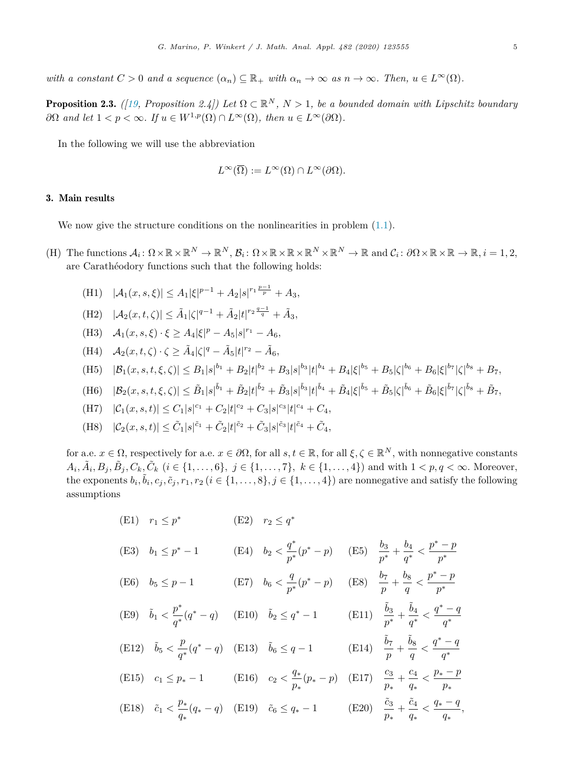<span id="page-4-0"></span>*with a constant*  $C > 0$  *and a sequence*  $(\alpha_n) \subseteq \mathbb{R}_+$  *with*  $\alpha_n \to \infty$  *as*  $n \to \infty$ *. Then,*  $u \in L^{\infty}(\Omega)$ *.* 

**Proposition 2.3.** *([\[19,](#page-18-0) Proposition 2.4]) Let*  $\Omega \subset \mathbb{R}^N$ ,  $N > 1$ , *be a bounded domain with Lipschitz boundary*  $\partial\Omega$  *and let*  $1 < p < \infty$ *. If*  $u \in W^{1,p}(\Omega) \cap L^{\infty}(\Omega)$ *, then*  $u \in L^{\infty}(\partial\Omega)$ *.* 

In the following we will use the abbreviation

$$
L^{\infty}(\overline{\Omega}) := L^{\infty}(\Omega) \cap L^{\infty}(\partial \Omega).
$$

### 3. Main results

We now give the structure conditions on the nonlinearities in problem  $(1.1)$ .

- (H) The functions  $\mathcal{A}_i: \Omega \times \mathbb{R} \times \mathbb{R}^N \to \mathbb{R}^N$ ,  $\mathcal{B}_i: \Omega \times \mathbb{R} \times \mathbb{R} \times \mathbb{R}^N \times \mathbb{R}^N \to \mathbb{R}$  and  $\mathcal{C}_i: \partial \Omega \times \mathbb{R} \times \mathbb{R} \to \mathbb{R}$ ,  $i = 1, 2$ , are Carathéodory functions such that the following holds:
	- $|A_1(x, s, \xi)| \leq A_1 |\xi|^{p-1} + A_2 |s|^{r_1} \frac{p-1}{p} + A_3,$
	- $|A_2(x, t, \zeta)| \leq \tilde{A}_1 |\zeta|^{q-1} + \tilde{A}_2 |t|^{r_2 \frac{q-1}{q}} + \tilde{A}_3,$
	- (H3)  $\mathcal{A}_1(x, s, \xi) \cdot \xi \geq A_4 |\xi|^p A_5 |s|^{r_1} A_6,$
	- (H4)  $A_2(x, t, \zeta) \cdot \zeta \ge \tilde{A}_4 |\zeta|^q \tilde{A}_5 |t|^{r_2} \tilde{A}_6$ ,
	- (H5)  $|\mathcal{B}_1(x, s, t, \xi, \zeta)| \leq B_1 |s|^{b_1} + B_2 |t|^{b_2} + B_3 |s|^{b_3} |t|^{b_4} + B_4 |\xi|^{b_5} + B_5 |\zeta|^{b_6} + B_6 |\xi|^{b_7} |\zeta|^{b_8} + B_7$
	- (H6)  $|\mathcal{B}_2(x, s, t, \xi, \zeta)| \leq \tilde{B}_1 |s|^{\tilde{b}_1} + \tilde{B}_2 |t|^{\tilde{b}_2} + \tilde{B}_3 |s|^{\tilde{b}_3} |t|^{\tilde{b}_4} + \tilde{B}_4 |\xi|^{\tilde{b}_5} + \tilde{B}_5 |\zeta|^{\tilde{b}_6} + \tilde{B}_6 |\xi|^{\tilde{b}_7} |\zeta|^{\tilde{b}_8} + \tilde{B}_7$
	- $|C_1(x, s, t)| \leq C_1 |s|^{c_1} + C_2 |t|^{c_2} + C_3 |s|^{c_3} |t|^{c_4} + C_4$
	- $|\mathcal{C}_2(x, s, t)| \leq \tilde{C}_1 |s|^{\tilde{c}_1} + \tilde{C}_2 |t|^{\tilde{c}_2} + \tilde{C}_3 |s|^{\tilde{c}_3} |t|^{\tilde{c}_4} + \tilde{C}_4,$

for a.e.  $x \in \Omega$ , respectively for a.e.  $x \in \partial\Omega$ , for all  $s, t \in \mathbb{R}$ , for all  $\xi, \zeta \in \mathbb{R}^N$ , with nonnegative constants  $A_i, \tilde{A}_i, B_j, \tilde{B}_i, C_k, \tilde{C}_k$  ( $i \in \{1, \ldots, 6\}, j \in \{1, \ldots, 7\}, k \in \{1, \ldots, 4\}$ ) and with  $1 < p, q < \infty$ . Moreover, the exponents  $b_i, \tilde{b}_i, c_j, \tilde{c}_j, r_1, r_2$  ( $i \in \{1, \ldots, 8\}, j \in \{1, \ldots, 4\}$ ) are nonnegative and satisfy the following assumptions

(E1) 
$$
r_1 \leq p^*
$$
 (E2)  $r_2 \leq q^*$   
\n(E3)  $b_1 \leq p^* - 1$  (E4)  $b_2 < \frac{q^*}{p^*}(p^* - p)$  (E5)  $\frac{b_3}{p^*} + \frac{b_4}{q^*} < \frac{p^* - p}{p^*}$   
\n(E6)  $b_5 \leq p - 1$  (E7)  $b_6 < \frac{q}{p^*}(p^* - p)$  (E8)  $\frac{b_7}{p} + \frac{b_8}{q} < \frac{p^* - p}{p^*}$   
\n(E9)  $\tilde{b}_1 < \frac{p^*}{q^*}(q^* - q)$  (E10)  $\tilde{b}_2 \leq q^* - 1$  (E11)  $\frac{\tilde{b}_3}{p^*} + \frac{\tilde{b}_4}{q^*} < \frac{q^* - q}{q^*}$   
\n(E12)  $\tilde{b}_5 < \frac{p}{q^*}(q^* - q)$  (E13)  $\tilde{b}_6 \leq q - 1$  (E14)  $\frac{\tilde{b}_7}{p} + \frac{\tilde{b}_8}{q} < \frac{q^* - q}{q^*}$   
\n(E15)  $c_1 \leq p_* - 1$  (E16)  $c_2 < \frac{q_*}{p_*}(p_* - p)$  (E17)  $\frac{c_3}{p_*} + \frac{c_4}{q_*} < \frac{p_* - p}{p_*}$   
\n(E18)  $\tilde{c}_1 < \frac{p_*}{q_*}(q_* - q)$  (E19)  $\tilde{c}_6 \leq q_* - 1$  (E20)  $\frac{\tilde{c}_3}{p_*} + \frac{\tilde{c}_4}{q_*} < \frac{q_* - q}{q_*}$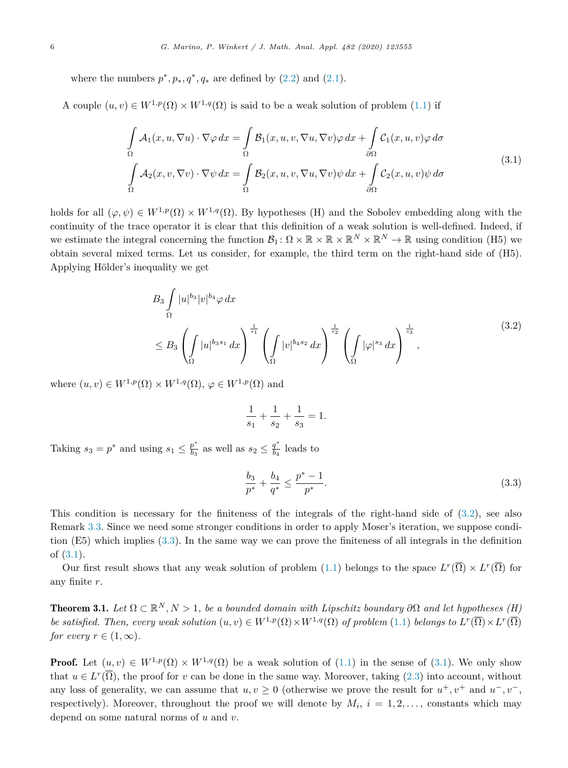<span id="page-5-0"></span>where the numbers  $p^*, p_*, q^*, q_*$  are defined by  $(2.2)$  and  $(2.1)$ .

A couple  $(u, v) \in W^{1,p}(\Omega) \times W^{1,q}(\Omega)$  is said to be a weak solution of problem  $(1.1)$  if

$$
\int_{\Omega} A_1(x, u, \nabla u) \cdot \nabla \varphi \, dx = \int_{\Omega} \mathcal{B}_1(x, u, v, \nabla u, \nabla v) \varphi \, dx + \int_{\partial \Omega} \mathcal{C}_1(x, u, v) \varphi \, d\sigma
$$
\n
$$
\int_{\Omega} A_2(x, v, \nabla v) \cdot \nabla \psi \, dx = \int_{\Omega} \mathcal{B}_2(x, u, v, \nabla u, \nabla v) \psi \, dx + \int_{\partial \Omega} \mathcal{C}_2(x, u, v) \psi \, d\sigma \tag{3.1}
$$

holds for all  $(\varphi, \psi) \in W^{1,p}(\Omega) \times W^{1,q}(\Omega)$ . By hypotheses (H) and the Sobolev embedding along with the continuity of the trace operator it is clear that this definition of a weak solution is well-defined. Indeed, if we estimate the integral concerning the function  $\mathcal{B}_1: \Omega \times \mathbb{R} \times \mathbb{R} \times \mathbb{R}^N \times \mathbb{R}^N \to \mathbb{R}$  using condition (H5) we obtain several mixed terms. Let us consider, for example, the third term on the right-hand side of (H5). Applying Hölder's inequality we get

$$
B_{3} \int_{\Omega} |u|^{b_{3}} |v|^{b_{4}} \varphi \, dx
$$
\n
$$
\leq B_{3} \left( \int_{\Omega} |u|^{b_{3}s_{1}} \, dx \right)^{\frac{1}{s_{1}}} \left( \int_{\Omega} |v|^{b_{4}s_{2}} \, dx \right)^{\frac{1}{s_{2}}} \left( \int_{\Omega} |\varphi|^{s_{3}} \, dx \right)^{\frac{1}{s_{3}}}, \tag{3.2}
$$

where  $(u, v) \in W^{1,p}(\Omega) \times W^{1,q}(\Omega)$ ,  $\varphi \in W^{1,p}(\Omega)$  and

$$
\frac{1}{s_1} + \frac{1}{s_2} + \frac{1}{s_3} = 1.
$$

Taking  $s_3 = p^*$  and using  $s_1 \leq \frac{p^*}{b_3}$  as well as  $s_2 \leq \frac{q^*}{b_4}$  leads to

$$
\frac{b_3}{p^*} + \frac{b_4}{q^*} \le \frac{p^*-1}{p^*}.\tag{3.3}
$$

This condition is necessary for the finiteness of the integrals of the right-hand side of (3.2), see also Remark [3.3.](#page-15-0) Since we need some stronger conditions in order to apply Moser's iteration, we suppose condition (E5) which implies (3.3). In the same way we can prove the finiteness of all integrals in the definition of (3.1).

Our first result shows that any weak solution of problem [\(1.1\)](#page-0-0) belongs to the space  $L^r(\overline{\Omega}) \times L^r(\overline{\Omega})$  for any finite *r*.

**Theorem 3.1.** Let  $\Omega \subset \mathbb{R}^N$ ,  $N > 1$ , be a bounded domain with Lipschitz boundary  $\partial \Omega$  and let hypotheses (H) be satisfied. Then, every weak solution  $(u, v) \in W^{1, p}(\Omega) \times W^{1, q}(\Omega)$  of problem  $(1.1)$  belongs to  $L^r(\overline{\Omega}) \times L^r(\overline{\Omega})$ *for every*  $r \in (1, \infty)$ *.* 

**Proof.** Let  $(u, v) \in W^{1,p}(\Omega) \times W^{1,q}(\Omega)$  be a weak solution of  $(1.1)$  in the sense of  $(3.1)$ . We only show that  $u \in L^r(\overline{\Omega})$ , the proof for *v* can be done in the same way. Moreover, taking [\(2.3\)](#page-3-0) into account, without any loss of generality, we can assume that  $u, v \geq 0$  (otherwise we prove the result for  $u^+, v^+$  and  $u^-, v^-$ ) respectively). Moreover, throughout the proof we will denote by  $M_i$ ,  $i = 1, 2, \ldots$ , constants which may depend on some natural norms of *u* and *v*.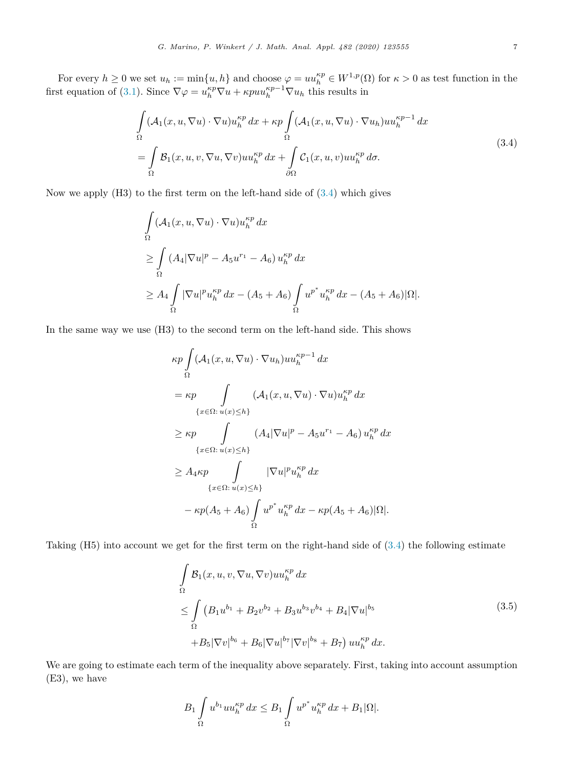<span id="page-6-0"></span>For every  $h \geq 0$  we set  $u_h := \min\{u, h\}$  and choose  $\varphi = uu_h^{kp} \in W^{1,p}(\Omega)$  for  $\kappa > 0$  as test function in the first equation of [\(3.1\)](#page-5-0). Since  $\nabla \varphi = u_h^{kp} \nabla u + \kappa p u u_h^{kp-1} \nabla u_h$  this results in

$$
\int_{\Omega} (\mathcal{A}_1(x, u, \nabla u) \cdot \nabla u) u_h^{\kappa p} dx + \kappa p \int_{\Omega} (\mathcal{A}_1(x, u, \nabla u) \cdot \nabla u_h) u u_h^{\kappa p-1} dx \n= \int_{\Omega} \mathcal{B}_1(x, u, v, \nabla u, \nabla v) u u_h^{\kappa p} dx + \int_{\partial \Omega} \mathcal{C}_1(x, u, v) u u_h^{\kappa p} d\sigma.
$$
\n(3.4)

Now we apply (H3) to the first term on the left-hand side of (3.4) which gives

$$
\int_{\Omega} (\mathcal{A}_1(x, u, \nabla u) \cdot \nabla u) u_h^{\kappa p} dx
$$
\n
$$
\geq \int_{\Omega} (A_4 |\nabla u|^p - A_5 u^{r_1} - A_6) u_h^{\kappa p} dx
$$
\n
$$
\geq A_4 \int_{\Omega} |\nabla u|^p u_h^{\kappa p} dx - (A_5 + A_6) \int_{\Omega} u^{p^*} u_h^{\kappa p} dx - (A_5 + A_6) |\Omega|.
$$

In the same way we use (H3) to the second term on the left-hand side. This shows

$$
\kappa p \int_{\Omega} (A_1(x, u, \nabla u) \cdot \nabla u_h) u u_h^{\kappa p-1} dx
$$
  
\n
$$
= \kappa p \int_{\{x \in \Omega : u(x) \le h\}} (A_1(x, u, \nabla u) \cdot \nabla u) u_h^{\kappa p} dx
$$
  
\n
$$
\ge \kappa p \int_{\{x \in \Omega : u(x) \le h\}} (A_4 |\nabla u|^p - A_5 u^{r_1} - A_6) u_h^{\kappa p} dx
$$
  
\n
$$
\ge A_4 \kappa p \int_{\{x \in \Omega : u(x) \le h\}} |\nabla u|^p u_h^{\kappa p} dx
$$
  
\n
$$
- \kappa p (A_5 + A_6) \int_{\Omega} u^{p^*} u_h^{\kappa p} dx - \kappa p (A_5 + A_6) |\Omega|.
$$

Taking (H5) into account we get for the first term on the right-hand side of (3.4) the following estimate

$$
\int_{\Omega} \mathcal{B}_1(x, u, v, \nabla u, \nabla v) u u_h^{\kappa p} dx
$$
\n
$$
\leq \int_{\Omega} \left( B_1 u^{b_1} + B_2 v^{b_2} + B_3 u^{b_3} v^{b_4} + B_4 |\nabla u|^{b_5} + B_5 |\nabla v|^{b_6} + B_6 |\nabla u|^{b_7} |\nabla v|^{b_8} + B_7 \right) u u_h^{\kappa p} dx.
$$
\n(3.5)

We are going to estimate each term of the inequality above separately. First, taking into account assumption (E3), we have

$$
B_1 \int_{\Omega} u^{b_1} u u_h^{\kappa p} dx \leq B_1 \int_{\Omega} u^{p^*} u_h^{\kappa p} dx + B_1 |\Omega|.
$$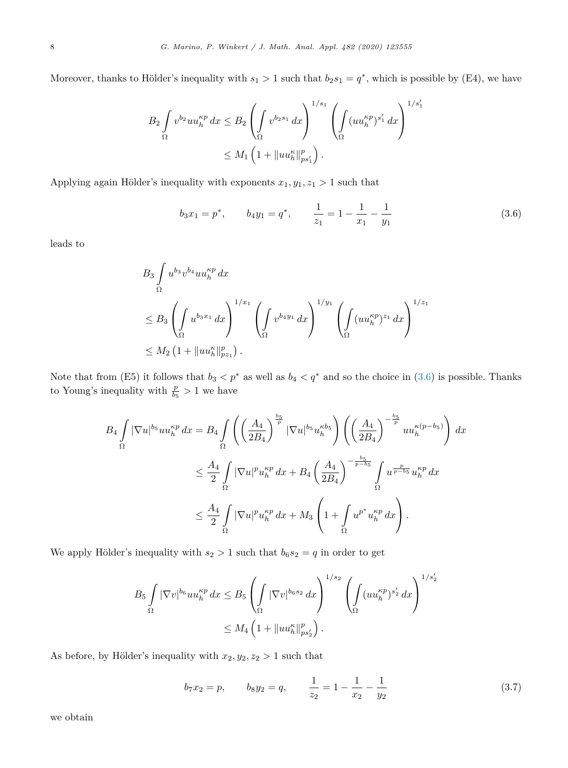<span id="page-7-0"></span>Moreover, thanks to Hölder's inequality with  $s_1 > 1$  such that  $b_2 s_1 = q^*$ , which is possible by (E4), we have

$$
B_2 \int_{\Omega} v^{b_2} u u_h^{\kappa p} dx \le B_2 \left( \int_{\Omega} v^{b_2 s_1} dx \right)^{1/s_1} \left( \int_{\Omega} (u u_h^{\kappa p})^{s'_1} dx \right)^{1/s'_1}
$$
  

$$
\le M_1 \left( 1 + ||u u_h^{\kappa}||_{ps'_1}^p \right).
$$

Applying again Hölder's inequality with exponents  $x_1, y_1, z_1 > 1$  such that

$$
b_3x_1 = p^*,
$$
  $b_4y_1 = q^*,$   $\frac{1}{z_1} = 1 - \frac{1}{x_1} - \frac{1}{y_1}$  (3.6)

leads to

$$
B_3 \int_{\Omega} u^{b_3} v^{b_4} u u_h^{\kappa p} dx
$$
  
\n
$$
\leq B_3 \left( \int_{\Omega} u^{b_3 x_1} dx \right)^{1/x_1} \left( \int_{\Omega} v^{b_4 y_1} dx \right)^{1/y_1} \left( \int_{\Omega} (u u_h^{\kappa p})^{z_1} dx \right)^{1/z_1}
$$
  
\n
$$
\leq M_2 \left( 1 + ||u u_h^{\kappa}||_{p z_1}^p \right).
$$

Note that from (E5) it follows that  $b_3 < p^*$  as well as  $b_4 < q^*$  and so the choice in (3.6) is possible. Thanks to Young's inequality with  $\frac{p}{b_5} > 1$  we have

$$
B_4 \int_{\Omega} |\nabla u|^{b_5} u u_h^{\kappa p} dx = B_4 \int_{\Omega} \left( \left( \frac{A_4}{2B_4} \right)^{\frac{b_5}{p}} |\nabla u|^{b_5} u_h^{\kappa b_5} \right) \left( \left( \frac{A_4}{2B_4} \right)^{-\frac{b_5}{p}} u u_h^{\kappa (p-b_5)} \right) dx
$$
  

$$
\leq \frac{A_4}{2} \int_{\Omega} |\nabla u|^p u_h^{\kappa p} dx + B_4 \left( \frac{A_4}{2B_4} \right)^{-\frac{b_5}{p-b_5}} \int_{\Omega} u^{\frac{p}{p-b_5}} u_h^{\kappa p} dx
$$
  

$$
\leq \frac{A_4}{2} \int_{\Omega} |\nabla u|^p u_h^{\kappa p} dx + M_3 \left( 1 + \int_{\Omega} u^{p^*} u_h^{\kappa p} dx \right).
$$

We apply Hölder's inequality with  $s_2 > 1$  such that  $b_6 s_2 = q$  in order to get

$$
B_5 \int_{\Omega} |\nabla v|^{b_6} u u_h^{\kappa p} dx \le B_5 \left( \int_{\Omega} |\nabla v|^{b_6 s_2} dx \right)^{1/s_2} \left( \int_{\Omega} (u u_h^{\kappa p})^{s'_2} dx \right)^{1/s'_2} \n\le M_4 \left( 1 + ||u u_h^{\kappa}||_{ps'_2}^p \right).
$$

As before, by Hölder's inequality with  $x_2, y_2, z_2 > 1$  such that

$$
b_7x_2 = p,
$$
  $b_8y_2 = q,$   $\frac{1}{z_2} = 1 - \frac{1}{x_2} - \frac{1}{y_2}$  (3.7)

we obtain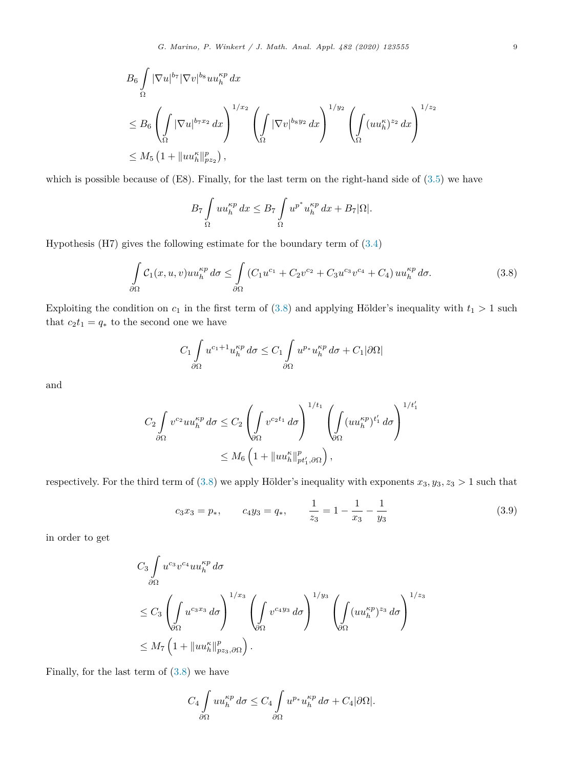<span id="page-8-0"></span>
$$
B_6 \int_{\Omega} |\nabla u|^{b_7} |\nabla v|^{b_8} u u_h^{\kappa p} dx
$$
  
\n
$$
\leq B_6 \left( \int_{\Omega} |\nabla u|^{b_7 x_2} dx \right)^{1/x_2} \left( \int_{\Omega} |\nabla v|^{b_8 y_2} dx \right)^{1/y_2} \left( \int_{\Omega} (u u_h^{\kappa})^{z_2} dx \right)^{1/z_2}
$$
  
\n
$$
\leq M_5 \left( 1 + \|u u_h^{\kappa}\|_{pz_2}^p \right),
$$

which is possible because of (E8). Finally, for the last term on the right-hand side of [\(3.5\)](#page-6-0) we have

$$
B_7 \int_{\Omega} u u_h^{\kappa p} dx \le B_7 \int_{\Omega} u^{p^*} u_h^{\kappa p} dx + B_7 |\Omega|.
$$

Hypothesis (H7) gives the following estimate for the boundary term of [\(3.4\)](#page-6-0)

$$
\int_{\partial\Omega} C_1(x, u, v) uu_h^{\kappa p} d\sigma \le \int_{\partial\Omega} (C_1 u^{c_1} + C_2 v^{c_2} + C_3 u^{c_3} v^{c_4} + C_4) uu_h^{\kappa p} d\sigma.
$$
\n(3.8)

Exploiting the condition on  $c_1$  in the first term of (3.8) and applying Hölder's inequality with  $t_1 > 1$  such that  $c_2t_1 = q_*$  to the second one we have

$$
C_1 \int\limits_{\partial\Omega} u^{c_1+1} u_h^{\kappa p} d\sigma \leq C_1 \int\limits_{\partial\Omega} u^{p_*} u_h^{\kappa p} d\sigma + C_1 |\partial\Omega|
$$

and

$$
C_2 \int_{\partial\Omega} v^{c_2} u u_h^{\kappa p} d\sigma \le C_2 \left( \int_{\partial\Omega} v^{c_2 t_1} d\sigma \right)^{1/t_1} \left( \int_{\partial\Omega} (u u_h^{\kappa p})^{t'_1} d\sigma \right)^{1/t'_1}
$$
  

$$
\le M_6 \left( 1 + ||u u_h^{\kappa}||_{pt_1',\partial\Omega}^p \right),
$$

respectively. For the third term of  $(3.8)$  we apply Hölder's inequality with exponents  $x_3, y_3, z_3 > 1$  such that

$$
c_3x_3 = p_*,
$$
  $c_4y_3 = q_*,$   $\frac{1}{z_3} = 1 - \frac{1}{x_3} - \frac{1}{y_3}$  (3.9)

in order to get

$$
C_3 \int_{\partial \Omega} u^{c_3} v^{c_4} u u_h^{\kappa p} d\sigma
$$
  
\n
$$
\leq C_3 \left( \int_{\partial \Omega} u^{c_3 x_3} d\sigma \right)^{1/x_3} \left( \int_{\partial \Omega} v^{c_4 y_3} d\sigma \right)^{1/y_3} \left( \int_{\partial \Omega} (u u_h^{\kappa p})^{z_3} d\sigma \right)^{1/z_3}
$$
  
\n
$$
\leq M_7 \left( 1 + ||u u_h^{\kappa}||_{p z_3, \partial \Omega}^{p} \right).
$$

Finally, for the last term of (3.8) we have

$$
C_4 \int\limits_{\partial\Omega} uu_h^{\kappa p} d\sigma \le C_4 \int\limits_{\partial\Omega} u^{p_*} u_h^{\kappa p} d\sigma + C_4 |\partial\Omega|.
$$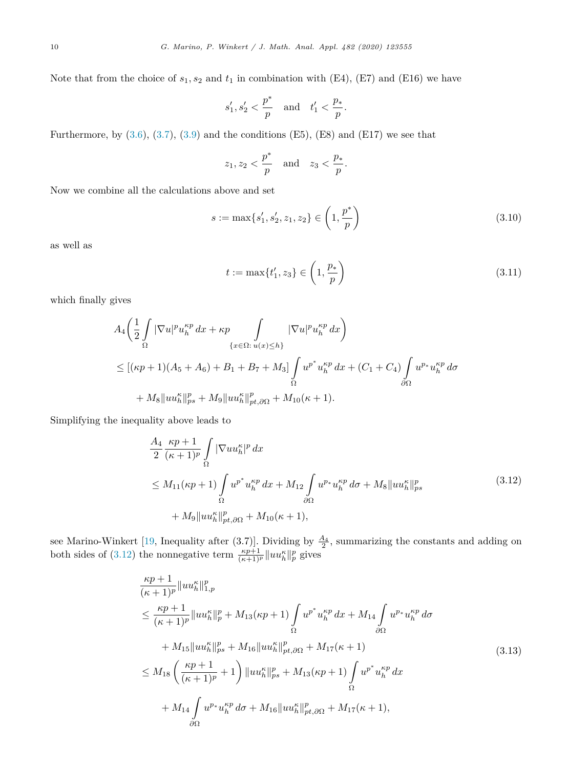<span id="page-9-0"></span>Note that from the choice of  $s_1, s_2$  and  $t_1$  in combination with (E4), (E7) and (E16) we have

$$
s_1',s_2'<\frac{p^*}{p}\quad\text{and}\quad t_1'<\frac{p_*}{p}.
$$

Furthermore, by  $(3.6)$ ,  $(3.7)$ ,  $(3.9)$  and the conditions  $(E5)$ ,  $(E8)$  and  $(E17)$  we see that

$$
z_1, z_2 < \frac{p^*}{p} \quad \text{and} \quad z_3 < \frac{p_*}{p}.
$$

Now we combine all the calculations above and set

$$
s := \max\{s_1', s_2', z_1, z_2\} \in \left(1, \frac{p^*}{p}\right) \tag{3.10}
$$

as well as

$$
t := \max\{t'_1, z_3\} \in \left(1, \frac{p_*}{p}\right) \tag{3.11}
$$

which finally gives

$$
A_4\left(\frac{1}{2}\int_{\Omega} |\nabla u|^p u_h^{\kappa p} dx + \kappa p \int_{\{x \in \Omega : u(x) \le h\}} |\nabla u|^p u_h^{\kappa p} dx\right)
$$
  

$$
\leq [(\kappa p + 1)(A_5 + A_6) + B_1 + B_7 + M_3] \int_{\Omega} u^{p^*} u_h^{\kappa p} dx + (C_1 + C_4) \int_{\partial\Omega} u^{p_*} u_h^{\kappa p} d\sigma
$$

$$
+ M_8 \|u u_h^{\kappa}\|_{ps}^p + M_9 \|u u_h^{\kappa}\|_{pt,\partial\Omega}^p + M_{10}(\kappa + 1).
$$

Simplifying the inequality above leads to

$$
\frac{A_4}{2} \frac{\kappa p + 1}{(\kappa + 1)^p} \int_{\Omega} |\nabla u u_h^{\kappa}|^p dx \n\leq M_{11}(\kappa p + 1) \int_{\Omega} u^{p^*} u_h^{\kappa p} dx + M_{12} \int_{\partial \Omega} u^{p_*} u_h^{\kappa p} d\sigma + M_8 \|u u_h^{\kappa}\|_{ps}^p \n+ M_9 \|u u_h^{\kappa}\|_{pt,\partial\Omega}^p + M_{10}(\kappa + 1),
$$
\n(3.12)

see Marino-Winkert [\[19,](#page-18-0) Inequality after  $(3.7)$ ]. Dividing by  $\frac{A_4}{2}$ , summarizing the constants and adding on both sides of (3.12) the nonnegative term  $\frac{\kappa p+1}{(\kappa+1)^p} ||uu_h^{\kappa}||_p^p$  gives

$$
\frac{\kappa p+1}{(\kappa+1)^p} \|u u_h^{\kappa}\|_{1,p}^p
$$
\n
$$
\leq \frac{\kappa p+1}{(\kappa+1)^p} \|u u_h^{\kappa}\|_p^p + M_{13}(\kappa p+1) \int u^{p^*} u_h^{\kappa p} dx + M_{14} \int u^{p^*} u_h^{\kappa p} d\sigma
$$
\n
$$
+ M_{15} \|u u_h^{\kappa}\|_{ps}^p + M_{16} \|u u_h^{\kappa}\|_{pt,\partial\Omega}^p + M_{17}(\kappa+1)
$$
\n
$$
\leq M_{18} \left(\frac{\kappa p+1}{(\kappa+1)^p} + 1\right) \|u u_h^{\kappa}\|_{ps}^p + M_{13}(\kappa p+1) \int_{\Omega} u^{p^*} u_h^{\kappa p} dx
$$
\n
$$
+ M_{14} \int u^{p^*} u_h^{\kappa p} d\sigma + M_{16} \|u u_h^{\kappa}\|_{pt,\partial\Omega}^p + M_{17}(\kappa+1),
$$
\n(3.13)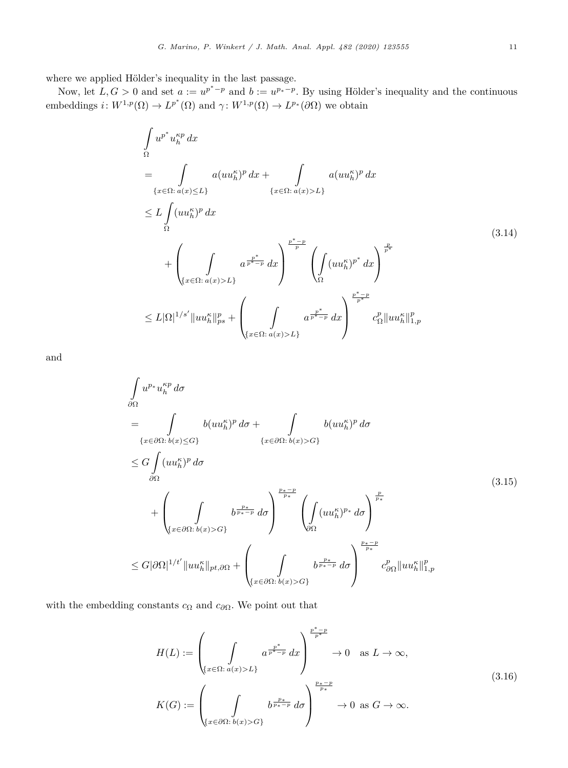<span id="page-10-0"></span>where we applied Hölder's inequality in the last passage.

Now, let  $L, G > 0$  and set  $a := u^{p^* - p}$  and  $b := u^{p_* - p}$ . By using Hölder's inequality and the continuous embeddings  $i: W^{1,p}(\Omega) \to L^{p^*}(\Omega)$  and  $\gamma: W^{1,p}(\Omega) \to L^{p^*}(\partial \Omega)$  we obtain

$$
\int_{\Omega} u^{p^*} u_h^{\kappa p} dx
$$
\n
$$
= \int_{\{x \in \Omega : a(x) \le L\}} a(uu_h^{\kappa})^p dx + \int_{\{x \in \Omega : a(x) > L\}} a(uu_h^{\kappa})^p dx
$$
\n
$$
\le L \int_{\Omega} (uu_h^{\kappa})^p dx
$$
\n
$$
+ \left( \int_{\{x \in \Omega : a(x) > L\}} a^{\frac{p^*}{p^*-p}} dx \right)^{\frac{p^*-p}{p}} \left( \int_{\Omega} (uu_h^{\kappa})^{p^*} dx \right)^{\frac{p}{p^*}}
$$
\n
$$
\le L |\Omega|^{1/s'} \|uu_h^{\kappa}\|_{ps}^p + \left( \int_{\{x \in \Omega : a(x) > L\}} a^{\frac{p^*}{p^*-p}} dx \right)^{\frac{p^*+p}{p^*}} c_{\Omega}^p \|uu_h^{\kappa}\|_{1,p}^p
$$
\n(3.14)

and

$$
\int_{\partial\Omega} u^{p*} u_h^{k p} d\sigma
$$
\n
$$
= \int_{\{x \in \partial\Omega : b(x) \le G\}} b(u u_h^{k})^p d\sigma + \int_{\{x \in \partial\Omega : b(x) > G\}} b(u u_h^{k})^p d\sigma
$$
\n
$$
\le G \int_{\partial\Omega} (u u_h^{k})^p d\sigma
$$
\n
$$
+ \left( \int_{\{x \in \partial\Omega : b(x) > G\}} b^{\frac{p}{p_{*}-p}} d\sigma \right)^{\frac{p_{*}-p}{p_{*}}} \left( \int_{\partial\Omega} (u u_h^{k})^{p_{*}} d\sigma \right)^{\frac{p}{p_{*}}}
$$
\n
$$
\le G |\partial\Omega|^{1/t'} \|u u_h^{k}\|_{pt, \partial\Omega} + \left( \int_{\{x \in \partial\Omega : b(x) > G\}} b^{\frac{p_{*}-p}{p_{*}-p}} d\sigma \right)^{\frac{p_{*}-p}{p_{*}}} c_{\partial\Omega}^{p} \|u u_h^{k}\|_{1,p}^{p}
$$
\n(3.15)

with the embedding constants  $c_{\Omega}$  and  $c_{\partial\Omega}$ . We point out that

$$
H(L) := \left(\int\limits_{\{x \in \Omega : a(x) > L\}} a^{\frac{p^*}{p^*} - p} dx \right)^{\frac{p^* - p}{p^*}} \to 0 \quad \text{as } L \to \infty,
$$
\n
$$
K(G) := \left(\int\limits_{\{x \in \partial\Omega : b(x) > G\}} b^{\frac{p_x}{p^*} - p} d\sigma \right)^{\frac{p_x - p}{p^*}} \to 0 \quad \text{as } G \to \infty.
$$
\n
$$
(3.16)
$$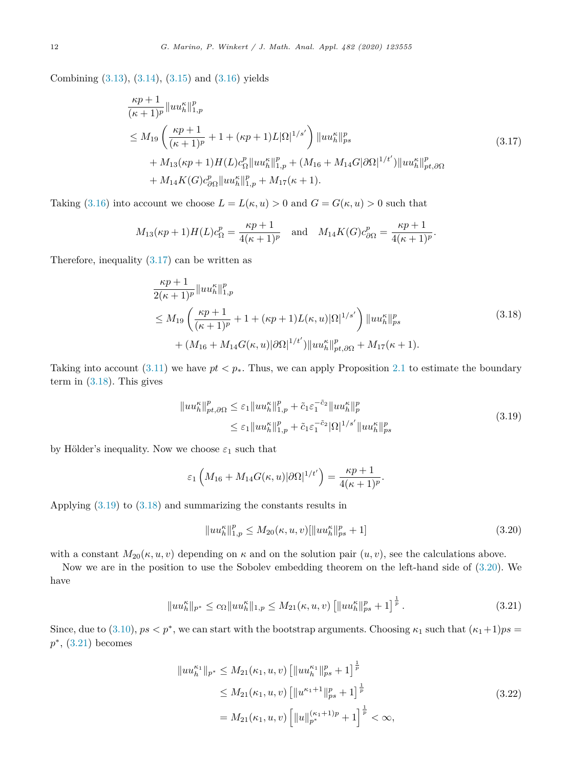<span id="page-11-0"></span>Combining [\(3.13\)](#page-9-0), [\(3.14\)](#page-10-0), [\(3.15\)](#page-10-0) and [\(3.16\)](#page-10-0) yields

$$
\frac{\kappa p+1}{(\kappa+1)^p} \|u u_h^{\kappa}\|_{1,p}^p
$$
\n
$$
\leq M_{19} \left( \frac{\kappa p+1}{(\kappa+1)^p} + 1 + (\kappa p+1)L|\Omega|^{1/s'} \right) \|u u_h^{\kappa}\|_{ps}^p
$$
\n
$$
+ M_{13}(\kappa p+1)H(L)c_{\Omega}^p \|u u_h^{\kappa}\|_{1,p}^p + (M_{16} + M_{14}G|\partial\Omega|^{1/t'}) \|u u_h^{\kappa}\|_{pt,\partial\Omega}^p
$$
\n
$$
+ M_{14}K(G)c_{\partial\Omega}^p \|u u_h^{\kappa}\|_{1,p}^p + M_{17}(\kappa+1).
$$
\n(3.17)

Taking [\(3.16\)](#page-10-0) into account we choose  $L = L(\kappa, u) > 0$  and  $G = G(\kappa, u) > 0$  such that

$$
M_{13}(\kappa p + 1)H(L)c_{\Omega}^p = \frac{\kappa p + 1}{4(\kappa + 1)^p}
$$
 and  $M_{14}K(G)c_{\partial\Omega}^p = \frac{\kappa p + 1}{4(\kappa + 1)^p}$ .

Therefore, inequality  $(3.17)$  can be written as

$$
\frac{\kappa p+1}{2(\kappa+1)^p} \|uu_h^{\kappa}\|_{1,p}^p
$$
\n
$$
\leq M_{19} \left(\frac{\kappa p+1}{(\kappa+1)^p} + 1 + (\kappa p+1) L(\kappa, u) |\Omega|^{1/s'}\right) \|uu_h^{\kappa}\|_{ps}^p
$$
\n
$$
+ (M_{16} + M_{14} G(\kappa, u) |\partial \Omega|^{1/t'}) \|uu_h^{\kappa}\|_{pt,\partial\Omega}^p + M_{17}(\kappa+1).
$$
\n(3.18)

Taking into account [\(3.11\)](#page-9-0) we have  $pt < p_*$ . Thus, we can apply Proposition [2.1](#page-3-0) to estimate the boundary term in (3.18). This gives

$$
||uu_h^{\kappa}||_{pt,\partial\Omega}^p \leq \varepsilon_1 ||uu_h^{\kappa}||_{1,p}^p + \tilde{c}_1 \varepsilon_1^{-\tilde{c}_2} ||uu_h^{\kappa}||_p^p
$$
  

$$
\leq \varepsilon_1 ||uu_h^{\kappa}||_{1,p}^p + \tilde{c}_1 \varepsilon_1^{-\tilde{c}_2} |\Omega|^{1/s'} ||uu_h^{\kappa}||_{ps}^p
$$
 (3.19)

by Hölder's inequality. Now we choose  $\varepsilon_1$  such that

$$
\varepsilon_1\left(M_{16}+M_{14}G(\kappa,u)|\partial\Omega|^{1/t'}\right)=\frac{\kappa p+1}{4(\kappa+1)^p}.
$$

Applying (3.19) to (3.18) and summarizing the constants results in

$$
||uu_h^{\kappa}||_{1,p}^p \le M_{20}(\kappa, u, v)[||uu_h^{\kappa}||_{ps}^p + 1]
$$
\n(3.20)

with a constant  $M_{20}(\kappa, u, v)$  depending on  $\kappa$  and on the solution pair  $(u, v)$ , see the calculations above.

Now we are in the position to use the Sobolev embedding theorem on the left-hand side of (3.20). We have

$$
||uu_h^{\kappa}||_{p^*} \le c_{\Omega}||uu_h^{\kappa}||_{1,p} \le M_{21}(\kappa, u, v) \left[||uu_h^{\kappa}||_{ps}^p + 1\right]^{\frac{1}{p}}.
$$
\n(3.21)

Since, due to  $(3.10)$ ,  $ps < p^*$ , we can start with the bootstrap arguments. Choosing  $\kappa_1$  such that  $(\kappa_1+1)ps =$ *p*<sup>∗</sup>, (3.21) becomes

$$
||uu_h^{\kappa_1}||_{p^*} \le M_{21}(\kappa_1, u, v) \left[||uu_h^{\kappa_1}||_{ps}^p + 1\right]^{\frac{1}{p}}
$$
  
\n
$$
\le M_{21}(\kappa_1, u, v) \left[||u^{\kappa_1+1}||_{ps}^p + 1\right]^{\frac{1}{p}}
$$
  
\n
$$
= M_{21}(\kappa_1, u, v) \left[||u||_{p^*}^{(\kappa_1+1)p} + 1\right]^{\frac{1}{p}} < \infty,
$$
\n(3.22)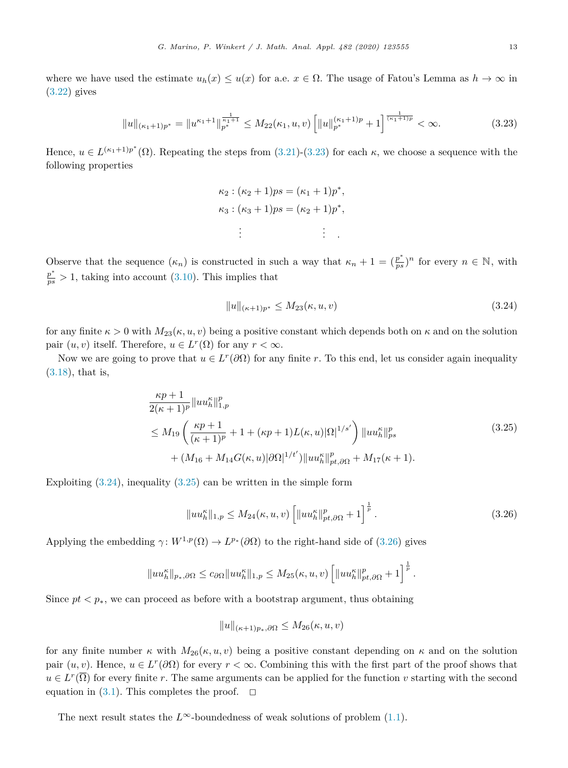where we have used the estimate  $u_h(x) \le u(x)$  for a.e.  $x \in \Omega$ . The usage of Fatou's Lemma as  $h \to \infty$  in [\(3.22\)](#page-11-0) gives

$$
||u||_{(\kappa_1+1)p^*} = ||u^{\kappa_1+1}||_{p^*}^{\frac{1}{\kappa_1+1}} \le M_{22}(\kappa_1, u, v) \left[||u||_{p^*}^{(\kappa_1+1)p} + 1\right]^{\frac{1}{(\kappa_1+1)p}} < \infty.
$$
 (3.23)

Hence,  $u \in L^{(\kappa_1+1)p^*}(\Omega)$ . Repeating the steps from [\(3.21\)](#page-11-0)-(3.23) for each  $\kappa$ , we choose a sequence with the following properties

$$
\kappa_2 : (\kappa_2 + 1)ps = (\kappa_1 + 1)p^*,\n\kappa_3 : (\kappa_3 + 1)ps = (\kappa_2 + 1)p^*,\n\vdots \qquad \vdots \qquad \vdots
$$

Observe that the sequence  $(\kappa_n)$  is constructed in such a way that  $\kappa_n + 1 = (\frac{p^*}{ps})^n$  for every  $n \in \mathbb{N}$ , with  $\frac{p^*}{ps} > 1$ , taking into account [\(3.10\)](#page-9-0). This implies that

$$
||u||_{(\kappa+1)p^*} \le M_{23}(\kappa, u, v) \tag{3.24}
$$

for any finite  $\kappa > 0$  with  $M_{23}(\kappa, u, v)$  being a positive constant which depends both on  $\kappa$  and on the solution pair  $(u, v)$  itself. Therefore,  $u \in L^r(\Omega)$  for any  $r < \infty$ .

Now we are going to prove that  $u \in L^r(\partial\Omega)$  for any finite r. To this end, let us consider again inequality [\(3.18\)](#page-11-0), that is,

$$
\frac{\kappa p+1}{2(\kappa+1)^p} \|uu_h^{\kappa}\|_{1,p}^p
$$
\n
$$
\leq M_{19} \left(\frac{\kappa p+1}{(\kappa+1)^p} + 1 + (\kappa p+1)L(\kappa, u)|\Omega|^{1/s'}\right) \|uu_h^{\kappa}\|_{ps}^p
$$
\n
$$
+ (M_{16} + M_{14}G(\kappa, u)|\partial\Omega|^{1/t'}) \|uu_h^{\kappa}\|_{pt,\partial\Omega}^p + M_{17}(\kappa+1).
$$
\n(3.25)

Exploiting  $(3.24)$ , inequality  $(3.25)$  can be written in the simple form

$$
||uu_h^{\kappa}||_{1,p} \le M_{24}(\kappa, u, v) \left[||uu_h^{\kappa}||_{pt,\partial\Omega}^p + 1\right]^{\frac{1}{p}}.
$$
\n(3.26)

*.*

Applying the embedding  $\gamma: W^{1,p}(\Omega) \to L^{p_*}(\partial \Omega)$  to the right-hand side of (3.26) gives

$$
||uu_h^{\kappa}||_{p_*,\partial\Omega} \leq c_{\partial\Omega}||uu_h^{\kappa}||_{1,p} \leq M_{25}(\kappa,u,v)\left[||uu_h^{\kappa}||_{pt,\partial\Omega}^p+1\right]^{\frac{1}{p}}
$$

Since  $pt < p_*$ , we can proceed as before with a bootstrap argument, thus obtaining

$$
||u||_{(\kappa+1)p_*,\partial\Omega} \leq M_{26}(\kappa,u,v)
$$

for any finite number  $\kappa$  with  $M_{26}(\kappa, u, v)$  being a positive constant depending on  $\kappa$  and on the solution pair  $(u, v)$ . Hence,  $u \in L^r(\partial\Omega)$  for every  $r < \infty$ . Combining this with the first part of the proof shows that  $u \in L^r(\overline{\Omega})$  for every finite *r*. The same arguments can be applied for the function *v* starting with the second equation in [\(3.1\)](#page-5-0). This completes the proof.  $\Box$ 

The next result states the  $L^{\infty}$ -boundedness of weak solutions of problem [\(1.1\)](#page-0-0).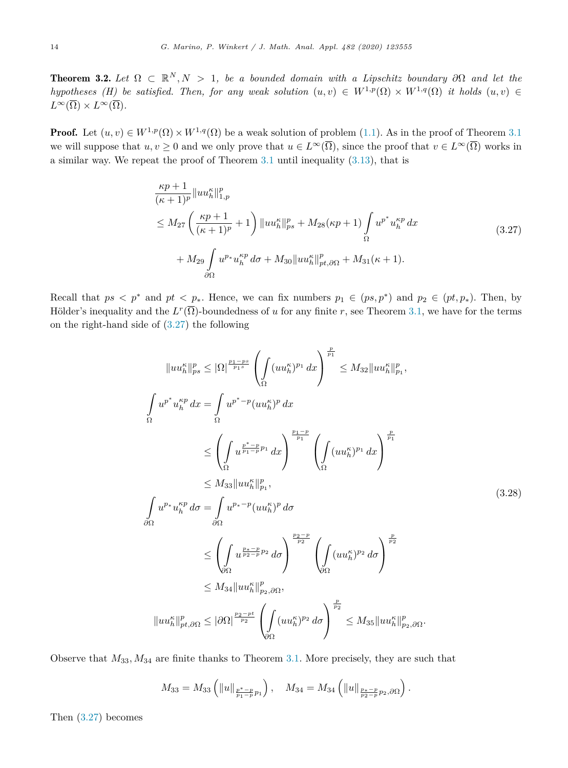<span id="page-13-0"></span>**Theorem 3.2.** Let  $\Omega \subset \mathbb{R}^N, N > 1$ , be a bounded domain with a Lipschitz boundary  $\partial\Omega$  and let the hypotheses (H) be satisfied. Then, for any weak solution  $(u, v) \in W^{1,p}(\Omega) \times W^{1,q}(\Omega)$  it holds  $(u, v) \in$  $L^{\infty}(\overline{\Omega}) \times L^{\infty}(\overline{\Omega})$ .

**Proof.** Let  $(u, v) \in W^{1,p}(\Omega) \times W^{1,q}(\Omega)$  be a weak solution of problem [\(1.1\)](#page-0-0). As in the proof of Theorem [3.1](#page-5-0) we will suppose that  $u, v \ge 0$  and we only prove that  $u \in L^{\infty}(\overline{\Omega})$ , since the proof that  $v \in L^{\infty}(\overline{\Omega})$  works in a similar way. We repeat the proof of Theorem [3.1](#page-5-0) until inequality [\(3.13\)](#page-9-0), that is

$$
\frac{\kappa p+1}{(\kappa+1)^p} \|u u_h^{\kappa}\|_{1,p}^p
$$
\n
$$
\leq M_{27} \left( \frac{\kappa p+1}{(\kappa+1)^p} + 1 \right) \|u u_h^{\kappa}\|_{ps}^p + M_{28}(\kappa p+1) \int_{\Omega} u^{p^*} u_h^{\kappa p} dx
$$
\n
$$
+ M_{29} \int_{\partial\Omega} u^{p_*} u_h^{\kappa p} d\sigma + M_{30} \|u u_h^{\kappa}\|_{pt,\partial\Omega}^p + M_{31}(\kappa+1).
$$
\n(3.27)

Recall that  $ps < p^*$  and  $pt < p_*$ . Hence, we can fix numbers  $p_1 \in (ps, p^*)$  and  $p_2 \in (pt, p_*)$ . Then, by Hölder's inequality and the  $L^r(\overline{\Omega})$ -boundedness of *u* for any finite *r*, see Theorem [3.1,](#page-5-0) we have for the terms on the right-hand side of (3.27) the following

$$
||uu_{h}^{\kappa}||_{ps}^{p} \leq |\Omega|^{\frac{p_{1}-p_{2}}{p_{1}s}} \left(\int_{\Omega} (uu_{h}^{\kappa})^{p_{1}} dx\right)^{\frac{p}{p_{1}}} \leq M_{32}||uu_{h}^{\kappa}||_{p_{1}}^{p},
$$
\n
$$
\int_{\Omega} u^{p^{*}}u_{h}^{\kappa p} dx = \int_{\Omega} u^{p^{*}-p}(uu_{h}^{\kappa})^{p} dx
$$
\n
$$
\leq \left(\int_{\Omega} u^{\frac{p^{*}-p}{p_{1}-p}p_{1}} dx\right)^{\frac{p_{1}-p}{p_{1}}} \left(\int_{\Omega} (uu_{h}^{\kappa})^{p_{1}} dx\right)^{\frac{p}{p_{1}}}
$$
\n
$$
\leq M_{33}||uu_{h}^{\kappa}||_{p_{1}}^{p},
$$
\n
$$
\int_{\partial\Omega} u^{p_{*}}u_{h}^{\kappa p} d\sigma = \int_{\partial\Omega} u^{p_{*}-p}(uu_{h}^{\kappa})^{p} d\sigma
$$
\n
$$
\leq \left(\int_{\partial\Omega} u^{\frac{p_{*}-p}{p_{2}}p_{2}} d\sigma\right)^{\frac{p_{2}-p}{p_{2}}} \left(\int_{\partial\Omega} (uu_{h}^{\kappa})^{p_{2}} d\sigma\right)^{\frac{p}{p_{2}}}
$$
\n
$$
\leq M_{34}||uu_{h}^{\kappa}||_{p_{2},\partial\Omega}^{p},
$$
\n
$$
||uu_{h}^{\kappa}||_{pt,\partial\Omega}^{p} \leq |\partial\Omega|^{\frac{p_{2}-pt}{p_{2}}} \left(\int_{\partial\Omega} (uu_{h}^{\kappa})^{p_{2}} d\sigma\right)^{\frac{p}{p_{2}}} \leq M_{35}||uu_{h}^{\kappa}||_{p_{2},\partial\Omega}^{p}.
$$

Observe that *M*33*, M*<sup>34</sup> are finite thanks to Theorem [3.1.](#page-5-0) More precisely, they are such that

$$
M_{33} = M_{33} \left( \|u\|_{\frac{p^*-p}{p_1-p}p_1} \right), \quad M_{34} = M_{34} \left( \|u\|_{\frac{p_*-p}{p_2-p}p_2, \partial \Omega} \right).
$$

Then (3.27) becomes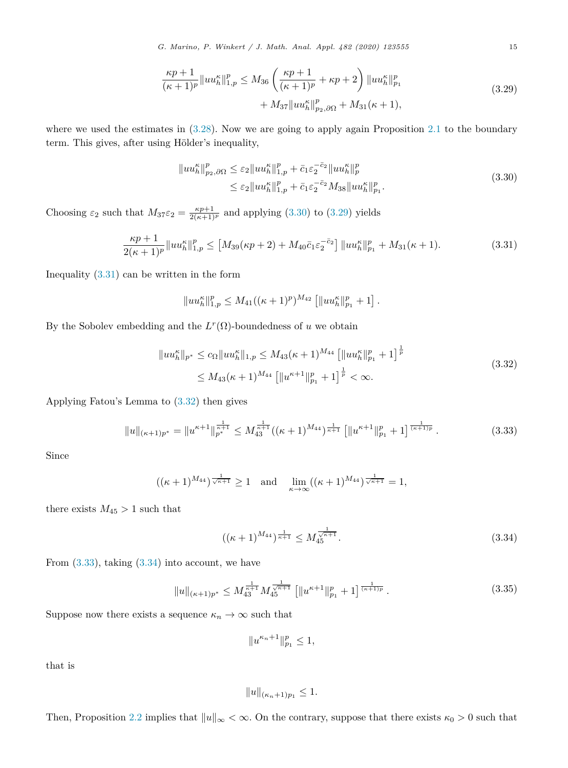*G. Marino, P. Winkert / J. Math. Anal. Appl. 482 (2020) 123555* 15

$$
\frac{\kappa p+1}{(\kappa+1)^p} \|uu_h^{\kappa}\|_{1,p}^p \le M_{36} \left(\frac{\kappa p+1}{(\kappa+1)^p} + \kappa p+2\right) \|uu_h^{\kappa}\|_{p_1}^p + M_{37} \|uu_h^{\kappa}\|_{p_2,\partial\Omega}^p + M_{31}(\kappa+1),\tag{3.29}
$$

<span id="page-14-0"></span>where we used the estimates in  $(3.28)$ . Now we are going to apply again Proposition [2.1](#page-3-0) to the boundary term. This gives, after using Hölder's inequality,

$$
||uu_h^{\kappa}||_{p_2,\partial\Omega}^p \leq \varepsilon_2 ||uu_h^{\kappa}||_{1,p}^p + \bar{c}_1 \varepsilon_2^{-\bar{c}_2} ||uu_h^{\kappa}||_p^p
$$
  

$$
\leq \varepsilon_2 ||uu_h^{\kappa}||_{1,p}^p + \bar{c}_1 \varepsilon_2^{-\bar{c}_2} M_{38} ||uu_h^{\kappa}||_{p_1}^p.
$$
 (3.30)

Choosing  $\varepsilon_2$  such that  $M_{37}\varepsilon_2 = \frac{\kappa p + 1}{2(\kappa + 1)^p}$  and applying (3.30) to (3.29) yields

$$
\frac{\kappa p+1}{2(\kappa+1)^p} \|uu_h^{\kappa}\|_{1,p}^p \le [M_{39}(\kappa p+2) + M_{40}\bar{c}_1\varepsilon_2^{-\bar{c}_2}] \|uu_h^{\kappa}\|_{p_1}^p + M_{31}(\kappa+1). \tag{3.31}
$$

Inequality  $(3.31)$  can be written in the form

$$
||uu_h^{\kappa}||_{1,p}^p \leq M_{41}((\kappa+1)^p)^{M_{42}} [||uu_h^{\kappa}||_{p_1}^p+1].
$$

By the Sobolev embedding and the  $L^r(\Omega)$ -boundedness of *u* we obtain

$$
||uu_h^{\kappa}||_{p^*} \le c_{\Omega}||uu_h^{\kappa}||_{1,p} \le M_{43}(\kappa+1)^{M_{44}} \left[||uu_h^{\kappa}||_{p_1}^p + 1\right]^{\frac{1}{p}} \le M_{43}(\kappa+1)^{M_{44}} \left[||u^{\kappa+1}||_{p_1}^p + 1\right]^{\frac{1}{p}} < \infty.
$$
\n(3.32)

Applying Fatou's Lemma to (3.32) then gives

$$
||u||_{(\kappa+1)p^*} = ||u^{\kappa+1}||_{p^*}^{\frac{1}{\kappa+1}} \le M_{43}^{\frac{1}{\kappa+1}}((\kappa+1)^{M_{44}})^{\frac{1}{\kappa+1}} \left[||u^{\kappa+1}||_{p_1}^p + 1\right]^{\frac{1}{(\kappa+1)p}}.
$$
\n(3.33)

Since

$$
((\kappa+1)^{M_{44}})^{\frac{1}{\sqrt{\kappa+1}}} \ge 1 \quad \text{and} \quad \lim_{\kappa \to \infty} ((\kappa+1)^{M_{44}})^{\frac{1}{\sqrt{\kappa+1}}} = 1,
$$

there exists  $M_{45} > 1$  such that

$$
((\kappa+1)^{M_{44}})^{\frac{1}{\kappa+1}} \le M_{45}^{\frac{1}{\sqrt{\kappa+1}}}.
$$
\n(3.34)

From  $(3.33)$ , taking  $(3.34)$  into account, we have

$$
||u||_{(\kappa+1)p^*} \le M_{43}^{\frac{1}{\kappa+1}} M_{45}^{\frac{1}{\sqrt{\kappa+1}}} \left[ ||u^{\kappa+1}||_{p_1}^p + 1 \right]^{\frac{1}{(\kappa+1)p}}.
$$
\n(3.35)

Suppose now there exists a sequence  $\kappa_n \to \infty$  such that

$$
||u^{\kappa_n+1}||_{p_1}^p \le 1,
$$

that is

 $||u||_{(\kappa_n+1)p_1} \leq 1.$ 

Then, Proposition [2.2](#page-3-0) implies that  $||u||_{\infty} < \infty$ . On the contrary, suppose that there exists  $\kappa_0 > 0$  such that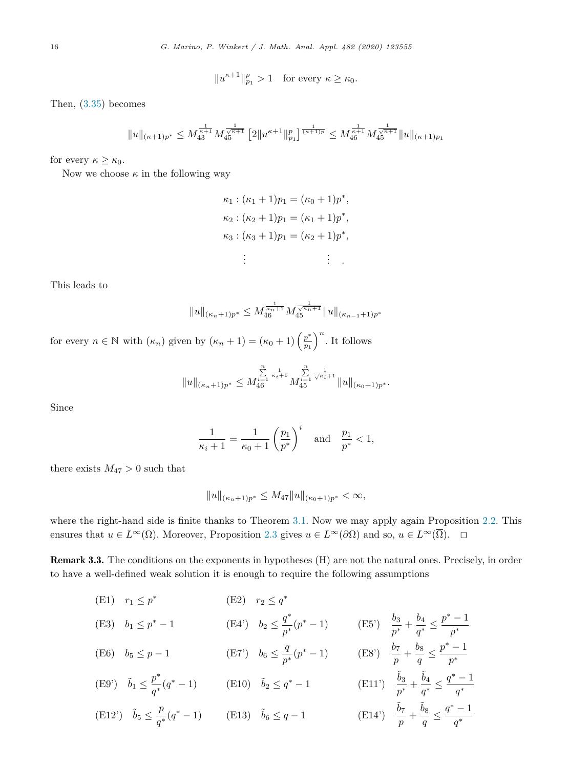$$
||u^{\kappa+1}||_{p_1}^p > 1 \quad \text{for every } \kappa \ge \kappa_0.
$$

<span id="page-15-0"></span>Then, [\(3.35\)](#page-14-0) becomes

$$
\|u\|_{(\kappa+1)p^*}\leq M_{43}^{\frac{1}{\kappa+1}}M_{45}^{\frac{1}{\sqrt{\kappa+1}}}\left[2\|u^{\kappa+1}\|_{p_1}^p\right]^{\frac{1}{(\kappa+1)p}}\leq M_{46}^{\frac{1}{\kappa+1}}M_{45}^{\frac{1}{\sqrt{\kappa+1}}}\|u\|_{(\kappa+1)p_1}
$$

for every  $\kappa \geq \kappa_0$ .

Now we choose  $\kappa$  in the following way

$$
\kappa_1 : (\kappa_1 + 1)p_1 = (\kappa_0 + 1)p^*,
$$
  
\n
$$
\kappa_2 : (\kappa_2 + 1)p_1 = (\kappa_1 + 1)p^*,
$$
  
\n
$$
\kappa_3 : (\kappa_3 + 1)p_1 = (\kappa_2 + 1)p^*,
$$
  
\n
$$
\vdots \qquad \vdots
$$

This leads to

$$
||u||_{(\kappa_n+1)p^*} \leq M_{46}^{\frac{1}{\kappa_n+1}} M_{45}^{\frac{1}{\sqrt{\kappa_n+1}}} ||u||_{(\kappa_{n-1}+1)p^*}
$$

for every  $n \in \mathbb{N}$  with  $(\kappa_n)$  given by  $(\kappa_n + 1) = (\kappa_0 + 1) \left(\frac{p^*}{p_1}\right)^n$ . It follows

$$
\|u\|_{(\kappa_n+1)p^*}\leq M_{46}^{\sum\limits_{i=1}^{n}\frac{1}{\kappa_i+1}}M_{45}^{\sum\limits_{i=1}^{n}\frac{1}{\sqrt{\kappa_i+1}}}\|u\|_{(\kappa_0+1)p^*}.
$$

Since

$$
\frac{1}{\kappa_i+1} = \frac{1}{\kappa_0+1} \left(\frac{p_1}{p^*}\right)^i \quad \text{and} \quad \frac{p_1}{p^*} < 1,
$$

there exists  $M_{47} > 0$  such that

$$
||u||_{(\kappa_n+1)p^*} \le M_{47}||u||_{(\kappa_0+1)p^*} < \infty,
$$

where the right-hand side is finite thanks to Theorem [3.1.](#page-5-0) Now we may apply again Proposition [2.2.](#page-3-0) This ensures that  $u \in L^{\infty}(\Omega)$ . Moreover, Proposition [2.3](#page-4-0) gives  $u \in L^{\infty}(\partial\Omega)$  and so,  $u \in L^{\infty}(\overline{\Omega})$ .  $\Box$ 

Remark 3.3. The conditions on the exponents in hypotheses (H) are not the natural ones. Precisely, in order to have a well-defined weak solution it is enough to require the following assumptions

(E1) 
$$
r_1 \le p^*
$$
 (E2)  $r_2 \le q^*$   
\n(E3)  $b_1 \le p^* - 1$  (E4')  $b_2 \le \frac{q^*}{p^*}(p^* - 1)$  (E5')  $\frac{b_3}{p^*} + \frac{b_4}{q^*} \le \frac{p^* - 1}{p^*}$   
\n(E6)  $b_5 \le p - 1$  (E7')  $b_6 \le \frac{q}{p^*}(p^* - 1)$  (E8')  $\frac{b_7}{p} + \frac{b_8}{q} \le \frac{p^* - 1}{p^*}$   
\n(E9')  $\tilde{b}_1 \le \frac{p^*}{q^*}(q^* - 1)$  (E10)  $\tilde{b}_2 \le q^* - 1$  (E11')  $\frac{\tilde{b}_3}{p^*} + \frac{\tilde{b}_4}{q^*} \le \frac{q^* - 1}{q^*}$   
\n(E12')  $\tilde{b}_5 \le \frac{p}{q^*}(q^* - 1)$  (E13)  $\tilde{b}_6 \le q - 1$  (E14')  $\frac{\tilde{b}_7}{p} + \frac{\tilde{b}_8}{q} \le \frac{q^* - 1}{q^*}$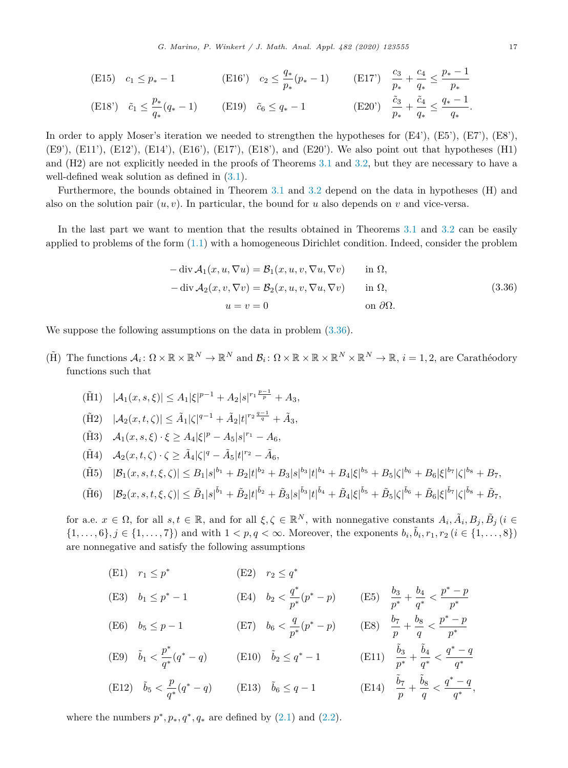<span id="page-16-0"></span>(E15) 
$$
c_1 \le p_* - 1
$$
 (E16')  $c_2 \le \frac{q_*}{p_*}(p_* - 1)$  (E17')  $\frac{c_3}{p_*} + \frac{c_4}{q_*} \le \frac{p_* - 1}{p_*}$   
\n(E18')  $\tilde{c}_1 \le \frac{p_*}{q_*}(q_* - 1)$  (E19)  $\tilde{c}_6 \le q_* - 1$  (E20')  $\frac{\tilde{c}_3}{p_*} + \frac{\tilde{c}_4}{q_*} \le \frac{q_* - 1}{q_*}$ 

In order to apply Moser's iteration we needed to strengthen the hypotheses for  $(E4')$ ,  $(E5')$ ,  $(E7')$ ,  $(E8')$ , (E9'), (E11'), (E12'), (E14'), (E16'), (E17'), (E18'), and (E20'). We also point out that hypotheses (H1) and (H2) are not explicitly needed in the proofs of Theorems [3.1](#page-5-0) and [3.2,](#page-13-0) but they are necessary to have a well-defined weak solution as defined in [\(3.1\)](#page-5-0).

Furthermore, the bounds obtained in Theorem [3.1](#page-5-0) and [3.2](#page-13-0) depend on the data in hypotheses (H) and also on the solution pair  $(u, v)$ . In particular, the bound for *u* also depends on *v* and vice-versa.

In the last part we want to mention that the results obtained in Theorems [3.1](#page-5-0) and [3.2](#page-13-0) can be easily applied to problems of the form [\(1.1\)](#page-0-0) with a homogeneous Dirichlet condition. Indeed, consider the problem

$$
-\operatorname{div} \mathcal{A}_1(x, u, \nabla u) = \mathcal{B}_1(x, u, v, \nabla u, \nabla v) \quad \text{in } \Omega,
$$
  

$$
-\operatorname{div} \mathcal{A}_2(x, v, \nabla v) = \mathcal{B}_2(x, u, v, \nabla u, \nabla v) \quad \text{in } \Omega,
$$
  

$$
u = v = 0 \quad \text{on } \partial \Omega.
$$
 (3.36)

We suppose the following assumptions on the data in problem  $(3.36)$ .

(H) The functions  $\mathcal{A}_i : \Omega \times \mathbb{R} \times \mathbb{R}^N \to \mathbb{R}^N$  and  $\mathcal{B}_i : \Omega \times \mathbb{R} \times \mathbb{R} \times \mathbb{R}^N \times \mathbb{R}^N \to \mathbb{R}, i = 1, 2$ , are Carathéodory functions such that

$$
(\tilde{H}1) \quad |\mathcal{A}_1(x, s, \xi)| \le A_1 |\xi|^{p-1} + A_2 |s|^{r_1 \frac{p-1}{p}} + A_3,
$$

- $|\tilde{A}_2(x,t,\zeta)| \leq \tilde{A}_1 |\zeta|^{q-1} + \tilde{A}_2 |t|^{r_2 \frac{q-1}{q}} + \tilde{A}_3,$
- $(\tilde{H}3)$   $\mathcal{A}_1(x, s, \xi) \cdot \xi \geq A_4 |\xi|^p A_5 |s|^{r_1} A_6,$
- $(\tilde{H}4)$   $\mathcal{A}_2(x,t,\zeta)\cdot\zeta \geq \tilde{A}_4|\zeta|^q \tilde{A}_5|t|^{r_2} \tilde{A}_6$

$$
(\tilde{H}5) \quad |\mathcal{B}_1(x,s,t,\xi,\zeta)| \leq B_1|s|^{b_1} + B_2|t|^{b_2} + B_3|s|^{b_3}|t|^{b_4} + B_4|\xi|^{b_5} + B_5|\zeta|^{b_6} + B_6|\xi|^{b_7}|\zeta|^{b_8} + B_7,
$$

$$
(\tilde{H}6)\quad |\mathcal{B}_2(x,s,t,\xi,\zeta)| \leq \tilde{B}_1|s|^{\tilde{b}_1} + \tilde{B}_2|t|^{\tilde{b}_2} + \tilde{B}_3|s|^{\tilde{b}_3}|t|^{\tilde{b}_4} + \tilde{B}_4|\xi|^{\tilde{b}_5} + \tilde{B}_5|\zeta|^{\tilde{b}_6} + \tilde{B}_6|\xi|^{\tilde{b}_7}|\zeta|^{\tilde{b}_8} + \tilde{B}_7,
$$

for a.e.  $x \in \Omega$ , for all  $s, t \in \mathbb{R}$ , and for all  $\xi, \zeta \in \mathbb{R}^N$ , with nonnegative constants  $A_i, \tilde{A}_i, B_j, \tilde{B}_j$  (i  $\in$  $\{1,\ldots,6\}, j \in \{1,\ldots,7\}$  and with  $1 < p,q < \infty$ . Moreover, the exponents  $b_i, \tilde{b}_i, r_1, r_2 \ (i \in \{1,\ldots,8\})$ are nonnegative and satisfy the following assumptions

(E1)

\n
$$
r_{1} \leq p^{*} \qquad \qquad \text{(E2)}
$$
\n
$$
r_{2} \leq q^{*} \qquad \qquad \text{(E5)}
$$
\n
$$
b_{1} \leq p^{*} - 1 \qquad \qquad \text{(E4)}
$$
\n
$$
b_{2} < \frac{q^{*}}{p^{*}}(p^{*} - p) \qquad \qquad \text{(E5)}
$$
\n
$$
\frac{b_{3}}{p^{*}} + \frac{b_{4}}{q^{*}} < \frac{p^{*} - p}{p^{*}}
$$
\n(E6)

\n
$$
b_{5} \leq p - 1 \qquad \qquad \text{(E7)}
$$
\n
$$
b_{6} < \frac{q}{p^{*}}(p^{*} - p) \qquad \qquad \text{(E8)}
$$
\n
$$
\frac{b_{7}}{p} + \frac{b_{8}}{q} < \frac{p^{*} - p}{p^{*}}
$$
\n(E9)

\n
$$
\tilde{b}_{1} < \frac{p^{*}}{q^{*}}(q^{*} - q) \qquad \qquad \text{(E10)}
$$
\n
$$
\tilde{b}_{2} \leq q^{*} - 1 \qquad \qquad \text{(E11)}
$$
\n
$$
\frac{\tilde{b}_{3}}{p^{*}} + \frac{\tilde{b}_{4}}{q^{*}} < \frac{q^{*} - q}{q^{*}}
$$
\n(E12)

\n
$$
\tilde{b}_{5} < \frac{p}{q^{*}}(q^{*} - q) \qquad \qquad \text{(E13)}
$$
\n
$$
\tilde{b}_{6} \leq q - 1 \qquad \qquad \text{(E14)}
$$
\n
$$
\frac{\tilde{b}_{7}}{p} + \frac{\tilde{b}_{8}}{q} < \frac{q^{*} - q}{q^{*}},
$$

where the numbers  $p^*$ ,  $p_*, q^*$ ,  $q_*$  are defined by [\(2.1\)](#page-3-0) and [\(2.2\)](#page-3-0).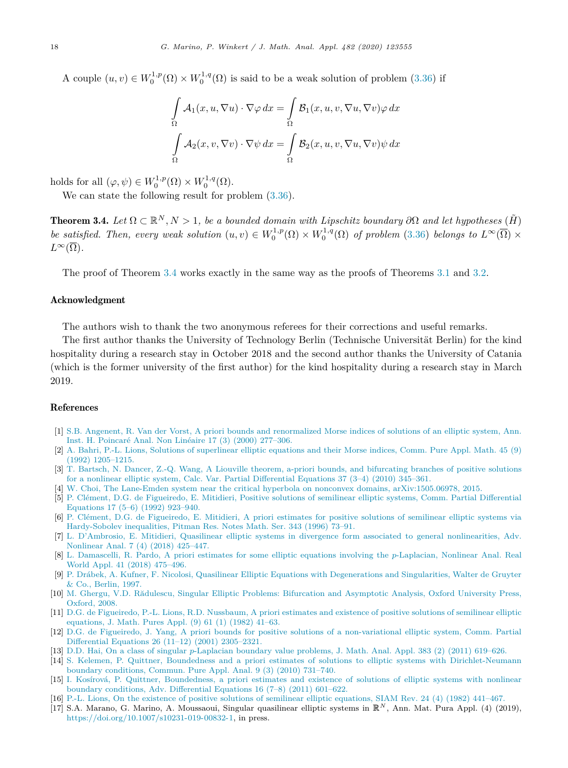<span id="page-17-0"></span>A couple  $(u, v) \in W_0^{1,p}(\Omega) \times W_0^{1,q}(\Omega)$  is said to be a weak solution of problem [\(3.36\)](#page-16-0) if

$$
\int_{\Omega} A_1(x, u, \nabla u) \cdot \nabla \varphi \, dx = \int_{\Omega} \mathcal{B}_1(x, u, v, \nabla u, \nabla v) \varphi \, dx
$$

$$
\int_{\Omega} A_2(x, v, \nabla v) \cdot \nabla \psi \, dx = \int_{\Omega} \mathcal{B}_2(x, u, v, \nabla u, \nabla v) \psi \, dx
$$

holds for all  $(\varphi, \psi) \in W_0^{1,p}(\Omega) \times W_0^{1,q}(\Omega)$ .

We can state the following result for problem [\(3.36\)](#page-16-0).

**Theorem 3.4.** Let  $\Omega \subset \mathbb{R}^N$ ,  $N > 1$ , be a bounded domain with Lipschitz boundary  $\partial \Omega$  and let hypotheses (*H*) be satisfied. Then, every weak solution  $(u, v) \in W_0^{1,p}(\Omega) \times W_0^{1,q}(\Omega)$  of problem [\(3.36\)](#page-16-0) belongs to  $L^{\infty}(\overline{\Omega}) \times$  $L^{\infty}(\overline{\Omega})$ *.* 

The proof of Theorem 3.4 works exactly in the same way as the proofs of Theorems [3.1](#page-5-0) and [3.2.](#page-13-0)

#### Acknowledgment

The authors wish to thank the two anonymous referees for their corrections and useful remarks.

The first author thanks the University of Technology Berlin (Technische Universität Berlin) for the kind hospitality during a research stay in October 2018 and the second author thanks the University of Catania (which is the former university of the first author) for the kind hospitality during a research stay in March 2019.

#### References

- [1] S.B. Angenent, R. Van der Vorst, A priori bounds and [renormalized](http://refhub.elsevier.com/S0022-247X(19)30823-6/bib416E67656E656E742D56616E2D6465722D566F7273742D32303030s1) Morse indices of solutions of an elliptic system, Ann. Inst. H. Poincaré Anal. Non Linéaire 17 (3) (2000) [277–306.](http://refhub.elsevier.com/S0022-247X(19)30823-6/bib416E67656E656E742D56616E2D6465722D566F7273742D32303030s1)
- [2] A. Bahri, P.-L. Lions, Solutions of [superlinear](http://refhub.elsevier.com/S0022-247X(19)30823-6/bib42616872692D4C696F6E732D31393932s1) elliptic equations and their Morse indices, Comm. Pure Appl. Math. 45 (9) (1992) [1205–1215.](http://refhub.elsevier.com/S0022-247X(19)30823-6/bib42616872692D4C696F6E732D31393932s1)
- [3] T. Bartsch, N. Dancer, Z.-Q. Wang, A Liouville theorem, a-priori bounds, and [bifurcating](http://refhub.elsevier.com/S0022-247X(19)30823-6/bib426172747363682D44616E6365722D57616E672D32303130s1) branches of positive solutions for a nonlinear elliptic system, Calc. Var. Partial [Differential](http://refhub.elsevier.com/S0022-247X(19)30823-6/bib426172747363682D44616E6365722D57616E672D32303130s1) Equations 37 (3–4) (2010) 345–361.

[4] W. Choi, The Lane-Emden system near the critical hyperbola on nonconvex domains, [arXiv:1505.06978,](http://refhub.elsevier.com/S0022-247X(19)30823-6/bib43686F692D32303135s1) 2015.

- [5] P. Clément, D.G. de [Figueiredo,](http://refhub.elsevier.com/S0022-247X(19)30823-6/bib436C656D656E742D64652D4669677565697265646F2D4D69746964696572692D31393932s1) E. Mitidieri, Positive solutions of semilinear elliptic systems, Comm. Partial Differential [Equations](http://refhub.elsevier.com/S0022-247X(19)30823-6/bib436C656D656E742D64652D4669677565697265646F2D4D69746964696572692D31393932s1) 17 (5–6) (1992) 923–940.
- [6] P. Clément, D.G. de [Figueiredo,](http://refhub.elsevier.com/S0022-247X(19)30823-6/bib436C656D656E742D64652D4669677565697265646F2D4D69746964696572692D31393936s1) E. Mitidieri, A priori estimates for positive solutions of semilinear elliptic systems via [Hardy-Sobolev](http://refhub.elsevier.com/S0022-247X(19)30823-6/bib436C656D656E742D64652D4669677565697265646F2D4D69746964696572692D31393936s1) inequalities, Pitman Res. Notes Math. Ser. 343 (1996) 73–91.
- [7] L. D'Ambrosio, E. Mitidieri, Quasilinear elliptic systems in divergence form associated to general [nonlinearities,](http://refhub.elsevier.com/S0022-247X(19)30823-6/bib44416D62726F73696F2D4D69746964696572692D32303138s1) Adv. [Nonlinear](http://refhub.elsevier.com/S0022-247X(19)30823-6/bib44416D62726F73696F2D4D69746964696572692D32303138s1) Anal. 7 (4) (2018) 425–447.
- [8] L. [Damascelli,](http://refhub.elsevier.com/S0022-247X(19)30823-6/bib44616D617363656C6C692D506172646F2D32303138s1) R. Pardo, A priori estimates for some elliptic equations involving the *p*-Laplacian, Nonlinear Anal. Real World Appl. 41 (2018) [475–496.](http://refhub.elsevier.com/S0022-247X(19)30823-6/bib44616D617363656C6C692D506172646F2D32303138s1)
- [9] P. Drábek, A. Kufner, F. Nicolosi, Quasilinear Elliptic Equations with [Degenerations](http://refhub.elsevier.com/S0022-247X(19)30823-6/bib44726162656B2D4B75666E65722D4E69636F6C6F73692D31393937s1) and Singularities, Walter de Gruyter & Co., [Berlin,](http://refhub.elsevier.com/S0022-247X(19)30823-6/bib44726162656B2D4B75666E65722D4E69636F6C6F73692D31393937s1) 1997.
- [10] M. Ghergu, V.D. Rădulescu, Singular Elliptic Problems: Bifurcation and [Asymptotic](http://refhub.elsevier.com/S0022-247X(19)30823-6/bib4768657267752D526164756C657363752D32303038s1) Analysis, Oxford University Press, [Oxford,](http://refhub.elsevier.com/S0022-247X(19)30823-6/bib4768657267752D526164756C657363752D32303038s1) 2008.
- [11] D.G. de [Figueiredo,](http://refhub.elsevier.com/S0022-247X(19)30823-6/bib64652D4669677565697265646F2D4C696F6E732D4E7573736261756D2D31393832s1) P.-L. Lions, R.D. Nussbaum, A priori estimates and existence of positive solutions of semilinear elliptic [equations,](http://refhub.elsevier.com/S0022-247X(19)30823-6/bib64652D4669677565697265646F2D4C696F6E732D4E7573736261756D2D31393832s1) J. Math. Pures Appl. (9) 61 (1) (1982) 41–63.
- [12] D.G. de Figueiredo, J. Yang, A priori bounds for positive solutions of a [non-variational](http://refhub.elsevier.com/S0022-247X(19)30823-6/bib64652D4669677565697265646F2D59616E672D32303031s1) elliptic system, Comm. Partial [Differential](http://refhub.elsevier.com/S0022-247X(19)30823-6/bib64652D4669677565697265646F2D59616E672D32303031s1) Equations 26 (11–12) (2001) 2305–2321.
- [13] D.D. Hai, On a class of singular *p*[-Laplacian](http://refhub.elsevier.com/S0022-247X(19)30823-6/bib4861692D32303131s1) boundary value problems, J. Math. Anal. Appl. 383 (2) (2011) 619–626.
- [14] S. Kelemen, P. Quittner, Boundedness and a priori estimates of solutions to elliptic systems with [Dirichlet-Neumann](http://refhub.elsevier.com/S0022-247X(19)30823-6/bib4B656C656D656E2D51756974746E65722D32303130s1) boundary [conditions,](http://refhub.elsevier.com/S0022-247X(19)30823-6/bib4B656C656D656E2D51756974746E65722D32303130s1) Commun. Pure Appl. Anal. 9 (3) (2010) 731–740.
- [15] I. Kosírová, P. Quittner, [Boundedness,](http://refhub.elsevier.com/S0022-247X(19)30823-6/bib4B6F7369726F76612D51756974746E65722D32303131s1) a priori estimates and existence of solutions of elliptic systems with nonlinear boundary conditions, Adv. [Differential](http://refhub.elsevier.com/S0022-247X(19)30823-6/bib4B6F7369726F76612D51756974746E65722D32303131s1) Equations 16 (7–8) (2011) 601–622.
- [16] P.-L. Lions, On the existence of positive solutions of semilinear elliptic [equations,](http://refhub.elsevier.com/S0022-247X(19)30823-6/bib4C696F6E732D31393832s1) SIAM Rev. 24 (4) (1982) 441–467.
- [17] S.A. Marano, G. Marino, A. Moussaoui, Singular quasilinear elliptic systems in R*<sup>N</sup>* , Ann. Mat. Pura Appl. (4) (2019), <https://doi.org/10.1007/s10231-019-00832-1>, in press.